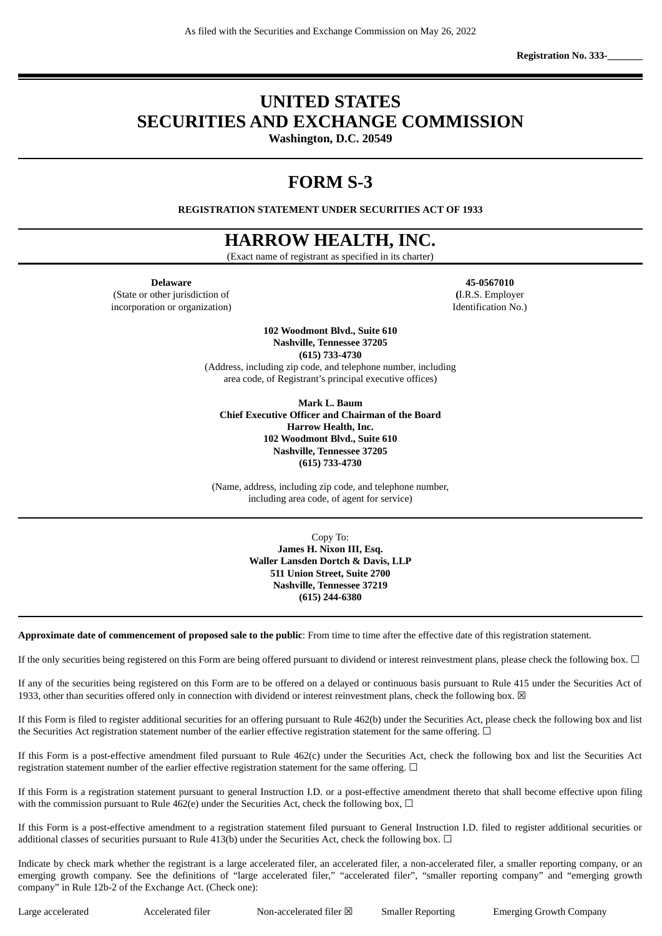**Registration No. 333-\_\_\_\_\_\_\_**

# **UNITED STATES SECURITIES AND EXCHANGE COMMISSION**

**Washington, D.C. 20549**

# **FORM S-3**

**REGISTRATION STATEMENT UNDER SECURITIES ACT OF 1933**

# **HARROW HEALTH, INC.**

(Exact name of registrant as specified in its charter)

**Delaware 45-0567010**

(State or other jurisdiction of **(**I.R.S. Employer incorporation or organization) and the set of the set of the set of the set of the set of the set of the set of the set of the set of the set of the set of the set of the set of the set of the set of the set of the set of

**102 Woodmont Blvd., Suite 610 Nashville, Tennessee 37205 (615) 733-4730**

(Address, including zip code, and telephone number, including area code, of Registrant's principal executive offices)

**Mark L. Baum Chief Executive Officer and Chairman of the Board Harrow Health, Inc. 102 Woodmont Blvd., Suite 610 Nashville, Tennessee 37205 (615) 733-4730**

(Name, address, including zip code, and telephone number, including area code, of agent for service)

> Copy To: **James H. Nixon III, Esq. Waller Lansden Dortch & Davis, LLP 511 Union Street, Suite 2700 Nashville, Tennessee 37219 (615) 244-6380**

**Approximate date of commencement of proposed sale to the public**: From time to time after the effective date of this registration statement.

If the only securities being registered on this Form are being offered pursuant to dividend or interest reinvestment plans, please check the following box. ☐

If any of the securities being registered on this Form are to be offered on a delayed or continuous basis pursuant to Rule 415 under the Securities Act of 1933, other than securities offered only in connection with dividend or interest reinvestment plans, check the following box.  $\boxtimes$ 

If this Form is filed to register additional securities for an offering pursuant to Rule 462(b) under the Securities Act, please check the following box and list the Securities Act registration statement number of the earlier effective registration statement for the same offering.  $\Box$ 

If this Form is a post-effective amendment filed pursuant to Rule 462(c) under the Securities Act, check the following box and list the Securities Act registration statement number of the earlier effective registration statement for the same offering. □

If this Form is a registration statement pursuant to general Instruction I.D. or a post-effective amendment thereto that shall become effective upon filing with the commission pursuant to Rule 462(e) under the Securities Act, check the following box,  $\Box$ 

If this Form is a post-effective amendment to a registration statement filed pursuant to General Instruction I.D. filed to register additional securities or additional classes of securities pursuant to Rule 413(b) under the Securities Act, check the following box.  $\Box$ 

Indicate by check mark whether the registrant is a large accelerated filer, an accelerated filer, a non-accelerated filer, a smaller reporting company, or an emerging growth company. See the definitions of "large accelerated filer," "accelerated filer", "smaller reporting company" and "emerging growth company" in Rule 12b-2 of the Exchange Act. (Check one):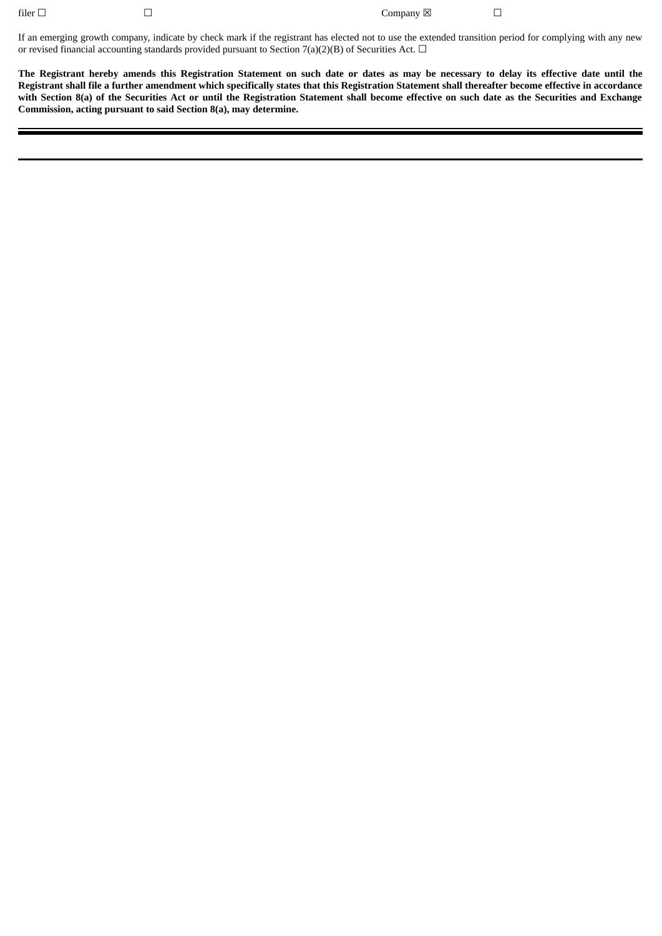filer □ □ Company ⊠

If an emerging growth company, indicate by check mark if the registrant has elected not to use the extended transition period for complying with any new or revised financial accounting standards provided pursuant to Section 7(a)(2)(B) of Securities Act.  $\Box$ 

The Registrant hereby amends this Registration Statement on such date or dates as may be necessary to delay its effective date until the Registrant shall file a further amendment which specifically states that this Registration Statement shall thereafter become effective in accordance with Section 8(a) of the Securities Act or until the Registration Statement shall become effective on such date as the Securities and Exchange **Commission, acting pursuant to said Section 8(a), may determine.**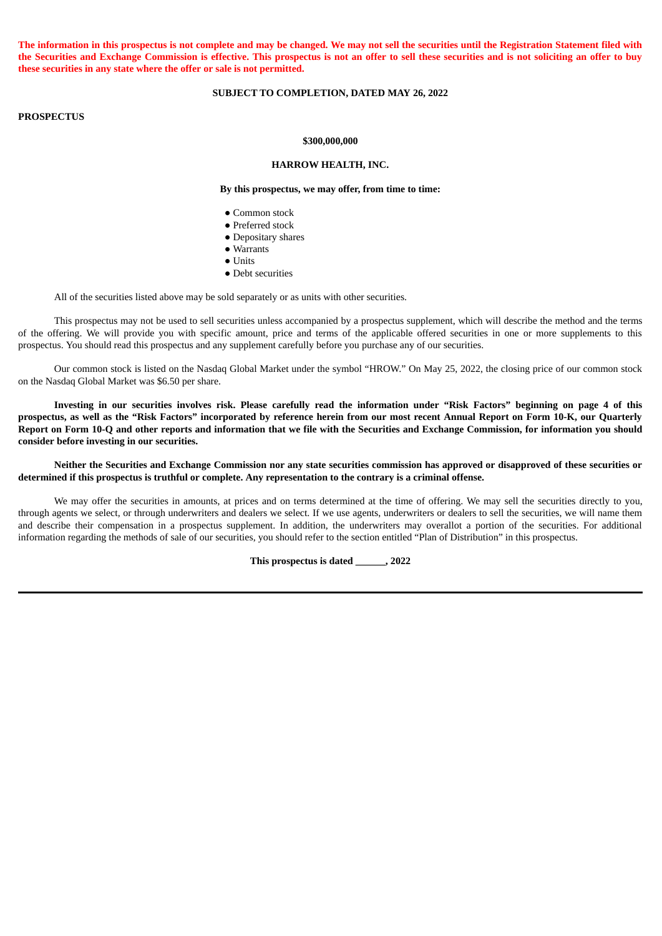The information in this prospectus is not complete and may be changed. We may not sell the securities until the Registration Statement filed with the Securities and Exchange Commission is effective. This prospectus is not an offer to sell these securities and is not soliciting an offer to buy **these securities in any state where the offer or sale is not permitted.**

#### **SUBJECT TO COMPLETION, DATED MAY 26, 2022**

## **PROSPECTUS**

#### **\$300,000,000**

#### **HARROW HEALTH, INC.**

**By this prospectus, we may offer, from time to time:**

- Common stock
- Preferred stock
- Depositary shares
- Warrants
- Units
- Debt securities

All of the securities listed above may be sold separately or as units with other securities.

This prospectus may not be used to sell securities unless accompanied by a prospectus supplement, which will describe the method and the terms of the offering. We will provide you with specific amount, price and terms of the applicable offered securities in one or more supplements to this prospectus. You should read this prospectus and any supplement carefully before you purchase any of our securities.

Our common stock is listed on the Nasdaq Global Market under the symbol "HROW." On May 25, 2022, the closing price of our common stock on the Nasdaq Global Market was \$6.50 per share.

Investing in our securities involves risk. Please carefully read the information under "Risk Factors" beginning on page 4 of this prospectus, as well as the "Risk Factors" incorporated by reference herein from our most recent Annual Report on Form 10-K, our Quarterly Report on Form 10-Q and other reports and information that we file with the Securities and Exchange Commission, for information you should **consider before investing in our securities.**

Neither the Securities and Exchange Commission nor any state securities commission has approved or disapproved of these securities or determined if this prospectus is truthful or complete. Any representation to the contrary is a criminal offense.

We may offer the securities in amounts, at prices and on terms determined at the time of offering. We may sell the securities directly to you, through agents we select, or through underwriters and dealers we select. If we use agents, underwriters or dealers to sell the securities, we will name them and describe their compensation in a prospectus supplement. In addition, the underwriters may overallot a portion of the securities. For additional information regarding the methods of sale of our securities, you should refer to the section entitled "Plan of Distribution" in this prospectus.

**This prospectus is dated \_\_\_\_\_\_, 2022**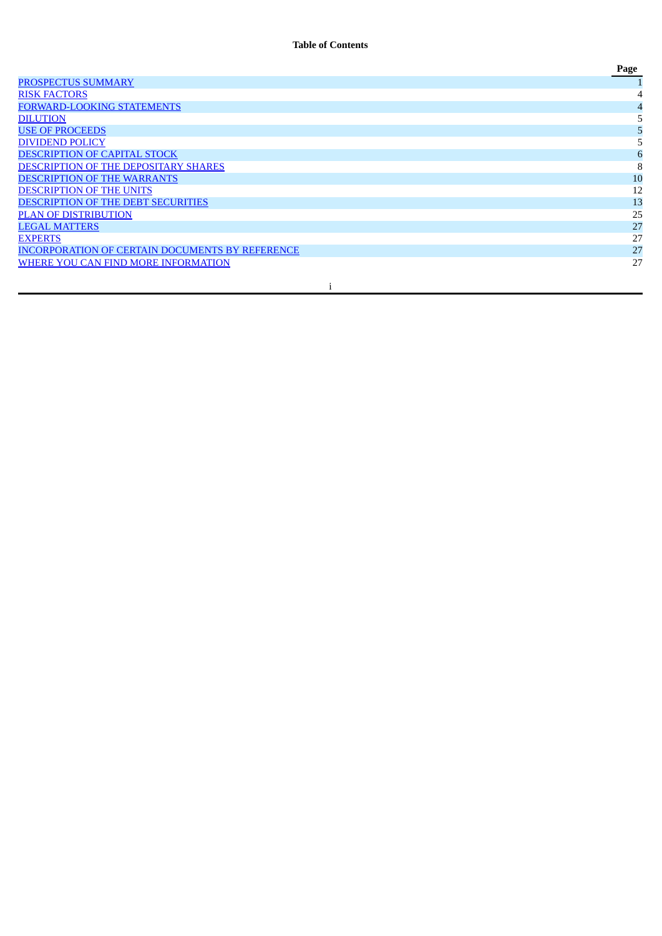|                                                        | Page |
|--------------------------------------------------------|------|
| <b>PROSPECTUS SUMMARY</b>                              |      |
| <b>RISK FACTORS</b>                                    |      |
| <b>FORWARD-LOOKING STATEMENTS</b>                      |      |
| <b>DILUTION</b>                                        |      |
| <b>USE OF PROCEEDS</b>                                 |      |
| <b>DIVIDEND POLICY</b>                                 |      |
| <b>DESCRIPTION OF CAPITAL STOCK</b>                    |      |
| DESCRIPTION OF THE DEPOSITARY SHARES                   | 8    |
| <b>DESCRIPTION OF THE WARRANTS</b>                     | 10   |
| <b>DESCRIPTION OF THE UNITS</b>                        | 12   |
| <b>DESCRIPTION OF THE DEBT SECURITIES</b>              | 13   |
| <b>PLAN OF DISTRIBUTION</b>                            | 25   |
| <b>LEGAL MATTERS</b>                                   | 27   |
| <b>EXPERTS</b>                                         | 27   |
| <b>INCORPORATION OF CERTAIN DOCUMENTS BY REFERENCE</b> | 27   |
| WHERE YOU CAN FIND MORE INFORMATION                    | 27   |
|                                                        |      |

i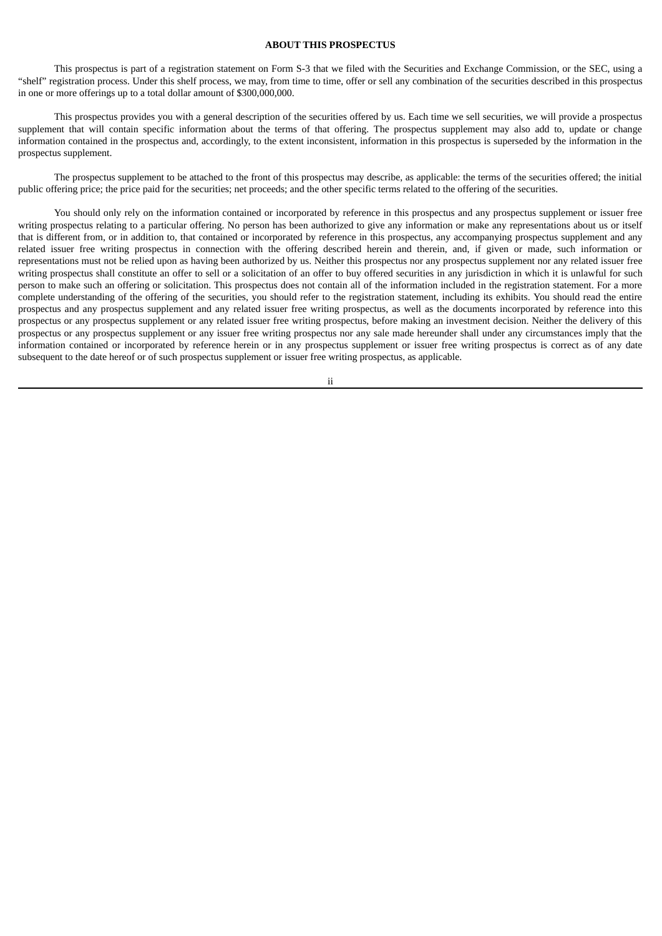## **ABOUT THIS PROSPECTUS**

This prospectus is part of a registration statement on Form S-3 that we filed with the Securities and Exchange Commission, or the SEC, using a "shelf" registration process. Under this shelf process, we may, from time to time, offer or sell any combination of the securities described in this prospectus in one or more offerings up to a total dollar amount of \$300,000,000.

This prospectus provides you with a general description of the securities offered by us. Each time we sell securities, we will provide a prospectus supplement that will contain specific information about the terms of that offering. The prospectus supplement may also add to, update or change information contained in the prospectus and, accordingly, to the extent inconsistent, information in this prospectus is superseded by the information in the prospectus supplement.

The prospectus supplement to be attached to the front of this prospectus may describe, as applicable: the terms of the securities offered; the initial public offering price; the price paid for the securities; net proceeds; and the other specific terms related to the offering of the securities.

You should only rely on the information contained or incorporated by reference in this prospectus and any prospectus supplement or issuer free writing prospectus relating to a particular offering. No person has been authorized to give any information or make any representations about us or itself that is different from, or in addition to, that contained or incorporated by reference in this prospectus, any accompanying prospectus supplement and any related issuer free writing prospectus in connection with the offering described herein and therein, and, if given or made, such information or representations must not be relied upon as having been authorized by us. Neither this prospectus nor any prospectus supplement nor any related issuer free writing prospectus shall constitute an offer to sell or a solicitation of an offer to buy offered securities in any jurisdiction in which it is unlawful for such person to make such an offering or solicitation. This prospectus does not contain all of the information included in the registration statement. For a more complete understanding of the offering of the securities, you should refer to the registration statement, including its exhibits. You should read the entire prospectus and any prospectus supplement and any related issuer free writing prospectus, as well as the documents incorporated by reference into this prospectus or any prospectus supplement or any related issuer free writing prospectus, before making an investment decision. Neither the delivery of this prospectus or any prospectus supplement or any issuer free writing prospectus nor any sale made hereunder shall under any circumstances imply that the information contained or incorporated by reference herein or in any prospectus supplement or issuer free writing prospectus is correct as of any date subsequent to the date hereof or of such prospectus supplement or issuer free writing prospectus, as applicable.

ii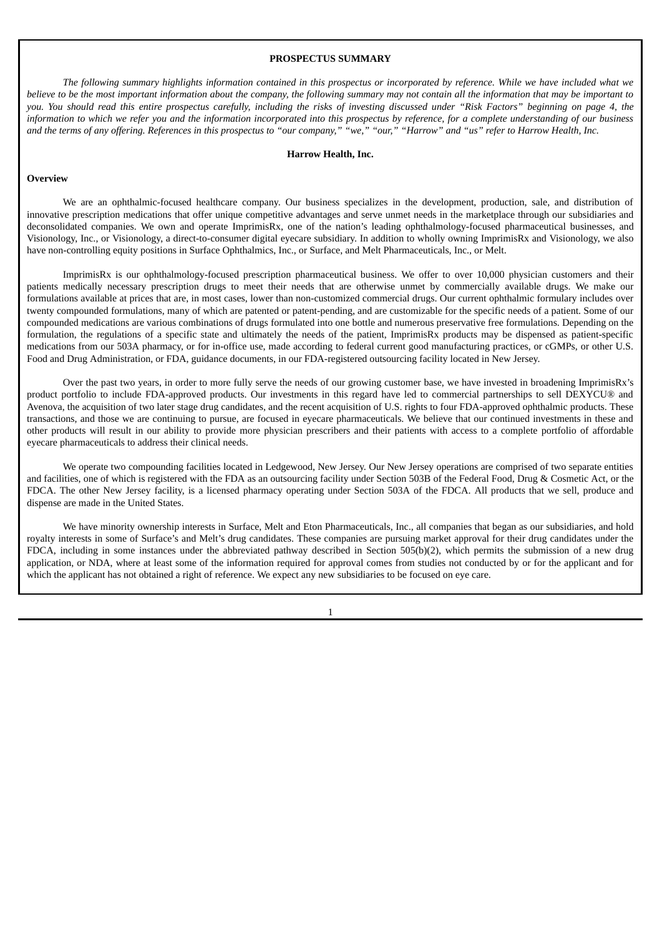## **PROSPECTUS SUMMARY**

<span id="page-5-0"></span>The following summary highlights information contained in this prospectus or incorporated by reference. While we have included what we believe to be the most important information about the company, the following summary may not contain all the information that may be important to you. You should read this entire prospectus carefully, including the risks of investing discussed under "Risk Factors" beginning on page 4, the information to which we refer you and the information incorporated into this prospectus by reference, for a complete understanding of our business and the terms of any offering. References in this prospectus to "our company," "we," "our," "Harrow" and "us" refer to Harrow Health, Inc.

#### **Harrow Health, Inc.**

#### **Overview**

We are an ophthalmic-focused healthcare company. Our business specializes in the development, production, sale, and distribution of innovative prescription medications that offer unique competitive advantages and serve unmet needs in the marketplace through our subsidiaries and deconsolidated companies. We own and operate ImprimisRx, one of the nation's leading ophthalmology-focused pharmaceutical businesses, and Visionology, Inc., or Visionology, a direct-to-consumer digital eyecare subsidiary. In addition to wholly owning ImprimisRx and Visionology, we also have non-controlling equity positions in Surface Ophthalmics, Inc., or Surface, and Melt Pharmaceuticals, Inc., or Melt.

ImprimisRx is our ophthalmology-focused prescription pharmaceutical business. We offer to over 10,000 physician customers and their patients medically necessary prescription drugs to meet their needs that are otherwise unmet by commercially available drugs. We make our formulations available at prices that are, in most cases, lower than non-customized commercial drugs. Our current ophthalmic formulary includes over twenty compounded formulations, many of which are patented or patent-pending, and are customizable for the specific needs of a patient. Some of our compounded medications are various combinations of drugs formulated into one bottle and numerous preservative free formulations. Depending on the formulation, the regulations of a specific state and ultimately the needs of the patient, ImprimisRx products may be dispensed as patient-specific medications from our 503A pharmacy, or for in-office use, made according to federal current good manufacturing practices, or cGMPs, or other U.S. Food and Drug Administration, or FDA, guidance documents, in our FDA-registered outsourcing facility located in New Jersey.

Over the past two years, in order to more fully serve the needs of our growing customer base, we have invested in broadening ImprimisRx's product portfolio to include FDA-approved products. Our investments in this regard have led to commercial partnerships to sell DEXYCU® and Avenova, the acquisition of two later stage drug candidates, and the recent acquisition of U.S. rights to four FDA-approved ophthalmic products. These transactions, and those we are continuing to pursue, are focused in eyecare pharmaceuticals. We believe that our continued investments in these and other products will result in our ability to provide more physician prescribers and their patients with access to a complete portfolio of affordable eyecare pharmaceuticals to address their clinical needs.

We operate two compounding facilities located in Ledgewood, New Jersey. Our New Jersey operations are comprised of two separate entities and facilities, one of which is registered with the FDA as an outsourcing facility under Section 503B of the Federal Food, Drug & Cosmetic Act, or the FDCA. The other New Jersey facility, is a licensed pharmacy operating under Section 503A of the FDCA. All products that we sell, produce and dispense are made in the United States.

We have minority ownership interests in Surface, Melt and Eton Pharmaceuticals, Inc., all companies that began as our subsidiaries, and hold royalty interests in some of Surface's and Melt's drug candidates. These companies are pursuing market approval for their drug candidates under the FDCA, including in some instances under the abbreviated pathway described in Section 505(b)(2), which permits the submission of a new drug application, or NDA, where at least some of the information required for approval comes from studies not conducted by or for the applicant and for which the applicant has not obtained a right of reference. We expect any new subsidiaries to be focused on eye care.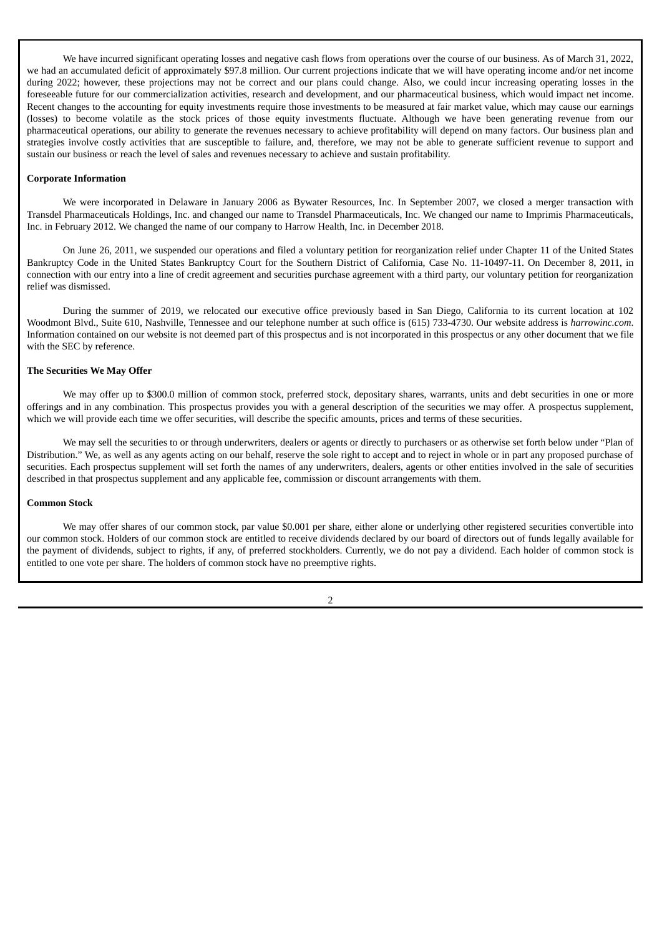We have incurred significant operating losses and negative cash flows from operations over the course of our business. As of March 31, 2022, we had an accumulated deficit of approximately \$97.8 million. Our current projections indicate that we will have operating income and/or net income during 2022; however, these projections may not be correct and our plans could change. Also, we could incur increasing operating losses in the foreseeable future for our commercialization activities, research and development, and our pharmaceutical business, which would impact net income. Recent changes to the accounting for equity investments require those investments to be measured at fair market value, which may cause our earnings (losses) to become volatile as the stock prices of those equity investments fluctuate. Although we have been generating revenue from our pharmaceutical operations, our ability to generate the revenues necessary to achieve profitability will depend on many factors. Our business plan and strategies involve costly activities that are susceptible to failure, and, therefore, we may not be able to generate sufficient revenue to support and sustain our business or reach the level of sales and revenues necessary to achieve and sustain profitability.

## **Corporate Information**

We were incorporated in Delaware in January 2006 as Bywater Resources, Inc. In September 2007, we closed a merger transaction with Transdel Pharmaceuticals Holdings, Inc. and changed our name to Transdel Pharmaceuticals, Inc. We changed our name to Imprimis Pharmaceuticals, Inc. in February 2012. We changed the name of our company to Harrow Health, Inc. in December 2018.

On June 26, 2011, we suspended our operations and filed a voluntary petition for reorganization relief under Chapter 11 of the United States Bankruptcy Code in the United States Bankruptcy Court for the Southern District of California, Case No. 11-10497-11. On December 8, 2011, in connection with our entry into a line of credit agreement and securities purchase agreement with a third party, our voluntary petition for reorganization relief was dismissed.

During the summer of 2019, we relocated our executive office previously based in San Diego, California to its current location at 102 Woodmont Blvd., Suite 610, Nashville, Tennessee and our telephone number at such office is (615) 733-4730. Our website address is *harrowinc.com*. Information contained on our website is not deemed part of this prospectus and is not incorporated in this prospectus or any other document that we file with the SEC by reference.

## **The Securities We May Offer**

We may offer up to \$300.0 million of common stock, preferred stock, depositary shares, warrants, units and debt securities in one or more offerings and in any combination. This prospectus provides you with a general description of the securities we may offer. A prospectus supplement, which we will provide each time we offer securities, will describe the specific amounts, prices and terms of these securities.

We may sell the securities to or through underwriters, dealers or agents or directly to purchasers or as otherwise set forth below under "Plan of Distribution." We, as well as any agents acting on our behalf, reserve the sole right to accept and to reject in whole or in part any proposed purchase of securities. Each prospectus supplement will set forth the names of any underwriters, dealers, agents or other entities involved in the sale of securities described in that prospectus supplement and any applicable fee, commission or discount arrangements with them.

#### **Common Stock**

We may offer shares of our common stock, par value \$0.001 per share, either alone or underlying other registered securities convertible into our common stock. Holders of our common stock are entitled to receive dividends declared by our board of directors out of funds legally available for the payment of dividends, subject to rights, if any, of preferred stockholders. Currently, we do not pay a dividend. Each holder of common stock is entitled to one vote per share. The holders of common stock have no preemptive rights.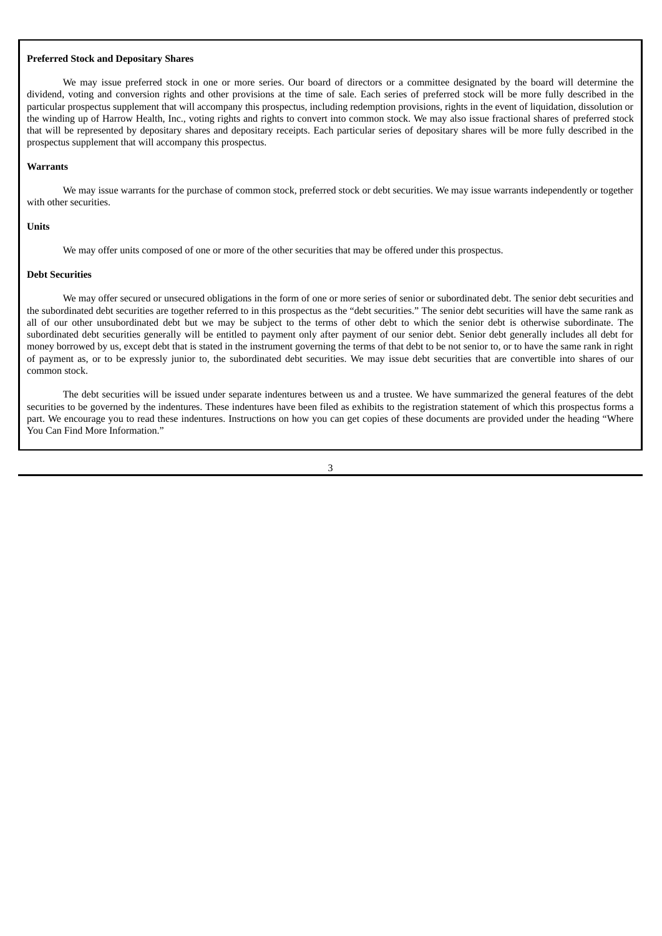## **Preferred Stock and Depositary Shares**

We may issue preferred stock in one or more series. Our board of directors or a committee designated by the board will determine the dividend, voting and conversion rights and other provisions at the time of sale. Each series of preferred stock will be more fully described in the particular prospectus supplement that will accompany this prospectus, including redemption provisions, rights in the event of liquidation, dissolution or the winding up of Harrow Health, Inc., voting rights and rights to convert into common stock. We may also issue fractional shares of preferred stock that will be represented by depositary shares and depositary receipts. Each particular series of depositary shares will be more fully described in the prospectus supplement that will accompany this prospectus.

#### **Warrants**

We may issue warrants for the purchase of common stock, preferred stock or debt securities. We may issue warrants independently or together with other securities.

#### **Units**

We may offer units composed of one or more of the other securities that may be offered under this prospectus.

#### **Debt Securities**

We may offer secured or unsecured obligations in the form of one or more series of senior or subordinated debt. The senior debt securities and the subordinated debt securities are together referred to in this prospectus as the "debt securities." The senior debt securities will have the same rank as all of our other unsubordinated debt but we may be subject to the terms of other debt to which the senior debt is otherwise subordinate. The subordinated debt securities generally will be entitled to payment only after payment of our senior debt. Senior debt generally includes all debt for money borrowed by us, except debt that is stated in the instrument governing the terms of that debt to be not senior to, or to have the same rank in right of payment as, or to be expressly junior to, the subordinated debt securities. We may issue debt securities that are convertible into shares of our common stock.

The debt securities will be issued under separate indentures between us and a trustee. We have summarized the general features of the debt securities to be governed by the indentures. These indentures have been filed as exhibits to the registration statement of which this prospectus forms a part. We encourage you to read these indentures. Instructions on how you can get copies of these documents are provided under the heading "Where You Can Find More Information."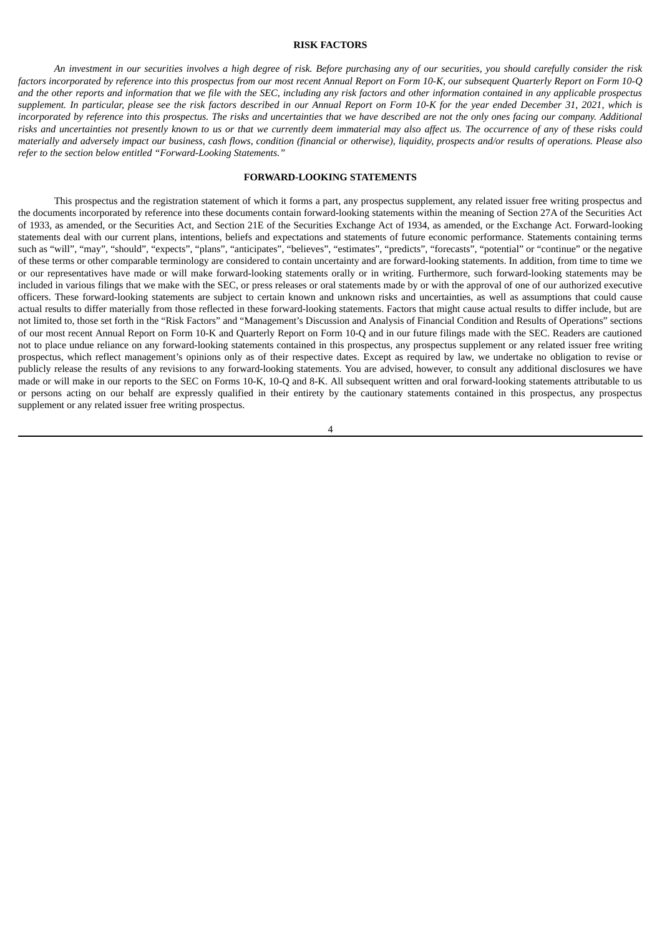## **RISK FACTORS**

<span id="page-8-0"></span>An investment in our securities involves a high degree of risk. Before purchasing any of our securities, you should carefully consider the risk factors incorporated by reference into this prospectus from our most recent Annual Report on Form 10-K, our subsequent Quarterly Report on Form 10-Q and the other reports and information that we file with the SEC, including any risk factors and other information contained in any applicable prospectus supplement. In particular, please see the risk factors described in our Annual Report on Form 10-K for the year ended December 31, 2021, which is incorporated by reference into this prospectus. The risks and uncertainties that we have described are not the only ones facing our company. Additional risks and uncertainties not presently known to us or that we currently deem immaterial may also affect us. The occurrence of any of these risks could materially and adversely impact our business, cash flows, condition (financial or otherwise), liquidity, prospects and/or results of operations. Please also *refer to the section below entitled "Forward-Looking Statements."*

## **FORWARD-LOOKING STATEMENTS**

<span id="page-8-1"></span>This prospectus and the registration statement of which it forms a part, any prospectus supplement, any related issuer free writing prospectus and the documents incorporated by reference into these documents contain forward-looking statements within the meaning of Section 27A of the Securities Act of 1933, as amended, or the Securities Act, and Section 21E of the Securities Exchange Act of 1934, as amended, or the Exchange Act. Forward-looking statements deal with our current plans, intentions, beliefs and expectations and statements of future economic performance. Statements containing terms such as "will", "may", "should", "expects", "plans", "anticipates", "believes", "estimates", "predicts", "forecasts", "potential" or "continue" or the negative of these terms or other comparable terminology are considered to contain uncertainty and are forward-looking statements. In addition, from time to time we or our representatives have made or will make forward-looking statements orally or in writing. Furthermore, such forward-looking statements may be included in various filings that we make with the SEC, or press releases or oral statements made by or with the approval of one of our authorized executive officers. These forward-looking statements are subject to certain known and unknown risks and uncertainties, as well as assumptions that could cause actual results to differ materially from those reflected in these forward-looking statements. Factors that might cause actual results to differ include, but are not limited to, those set forth in the "Risk Factors" and "Management's Discussion and Analysis of Financial Condition and Results of Operations" sections of our most recent Annual Report on Form 10-K and Quarterly Report on Form 10-Q and in our future filings made with the SEC. Readers are cautioned not to place undue reliance on any forward-looking statements contained in this prospectus, any prospectus supplement or any related issuer free writing prospectus, which reflect management's opinions only as of their respective dates. Except as required by law, we undertake no obligation to revise or publicly release the results of any revisions to any forward-looking statements. You are advised, however, to consult any additional disclosures we have made or will make in our reports to the SEC on Forms 10-K, 10-Q and 8-K. All subsequent written and oral forward-looking statements attributable to us or persons acting on our behalf are expressly qualified in their entirety by the cautionary statements contained in this prospectus, any prospectus supplement or any related issuer free writing prospectus.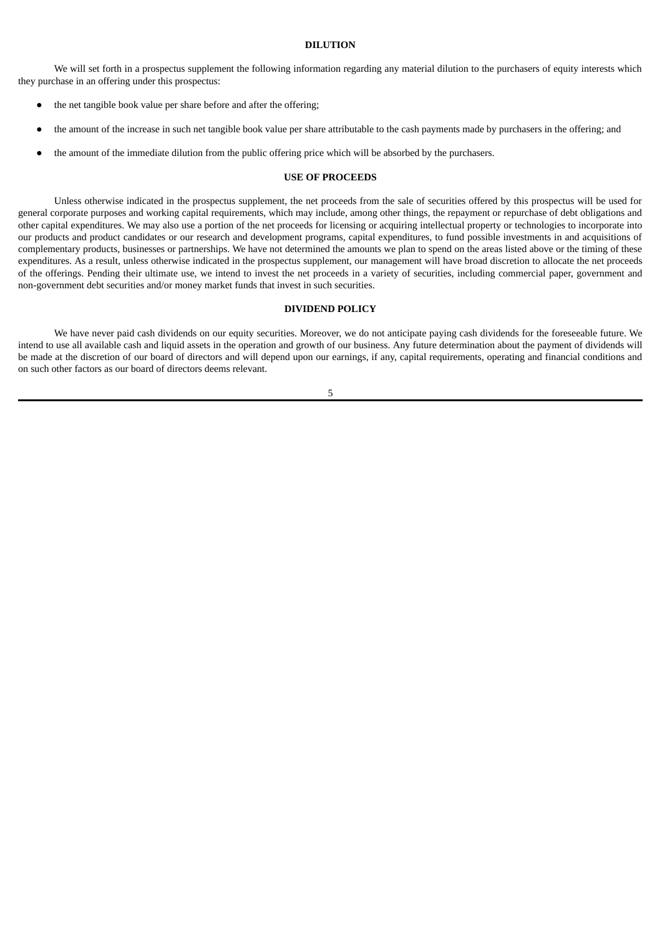## **DILUTION**

<span id="page-9-0"></span>We will set forth in a prospectus supplement the following information regarding any material dilution to the purchasers of equity interests which they purchase in an offering under this prospectus:

- the net tangible book value per share before and after the offering;
- the amount of the increase in such net tangible book value per share attributable to the cash payments made by purchasers in the offering; and
- the amount of the immediate dilution from the public offering price which will be absorbed by the purchasers.

## **USE OF PROCEEDS**

<span id="page-9-1"></span>Unless otherwise indicated in the prospectus supplement, the net proceeds from the sale of securities offered by this prospectus will be used for general corporate purposes and working capital requirements, which may include, among other things, the repayment or repurchase of debt obligations and other capital expenditures. We may also use a portion of the net proceeds for licensing or acquiring intellectual property or technologies to incorporate into our products and product candidates or our research and development programs, capital expenditures, to fund possible investments in and acquisitions of complementary products, businesses or partnerships. We have not determined the amounts we plan to spend on the areas listed above or the timing of these expenditures. As a result, unless otherwise indicated in the prospectus supplement, our management will have broad discretion to allocate the net proceeds of the offerings. Pending their ultimate use, we intend to invest the net proceeds in a variety of securities, including commercial paper, government and non-government debt securities and/or money market funds that invest in such securities.

## **DIVIDEND POLICY**

<span id="page-9-2"></span>We have never paid cash dividends on our equity securities. Moreover, we do not anticipate paying cash dividends for the foreseeable future. We intend to use all available cash and liquid assets in the operation and growth of our business. Any future determination about the payment of dividends will be made at the discretion of our board of directors and will depend upon our earnings, if any, capital requirements, operating and financial conditions and on such other factors as our board of directors deems relevant.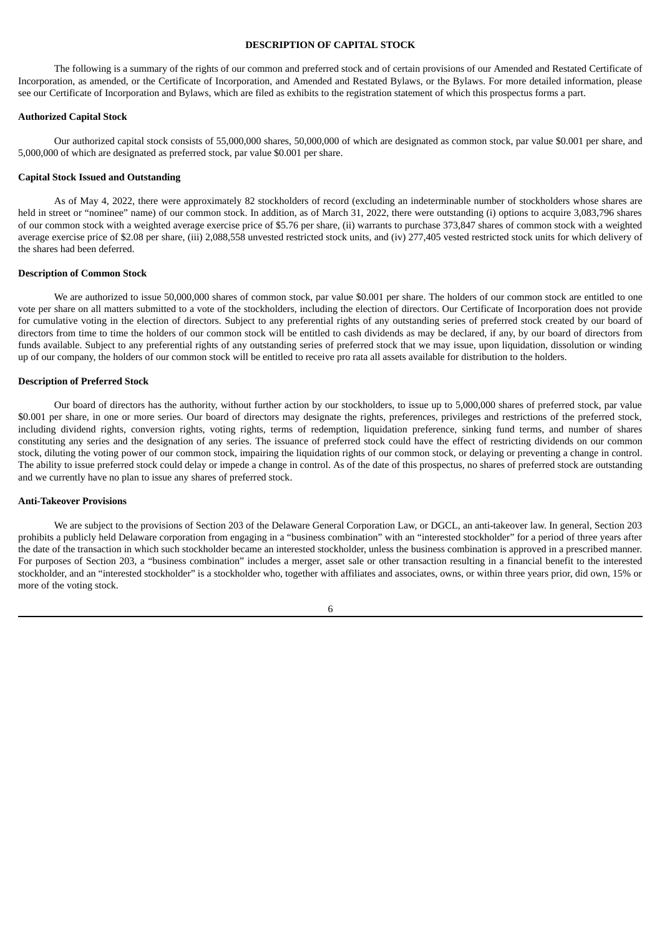## **DESCRIPTION OF CAPITAL STOCK**

<span id="page-10-0"></span>The following is a summary of the rights of our common and preferred stock and of certain provisions of our Amended and Restated Certificate of Incorporation, as amended, or the Certificate of Incorporation, and Amended and Restated Bylaws, or the Bylaws. For more detailed information, please see our Certificate of Incorporation and Bylaws, which are filed as exhibits to the registration statement of which this prospectus forms a part.

## **Authorized Capital Stock**

Our authorized capital stock consists of 55,000,000 shares, 50,000,000 of which are designated as common stock, par value \$0.001 per share, and 5,000,000 of which are designated as preferred stock, par value \$0.001 per share.

#### **Capital Stock Issued and Outstanding**

As of May 4, 2022, there were approximately 82 stockholders of record (excluding an indeterminable number of stockholders whose shares are held in street or "nominee" name) of our common stock. In addition, as of March 31, 2022, there were outstanding (i) options to acquire 3,083,796 shares of our common stock with a weighted average exercise price of \$5.76 per share, (ii) warrants to purchase 373,847 shares of common stock with a weighted average exercise price of \$2.08 per share, (iii) 2,088,558 unvested restricted stock units, and (iv) 277,405 vested restricted stock units for which delivery of the shares had been deferred.

#### **Description of Common Stock**

We are authorized to issue 50,000,000 shares of common stock, par value \$0.001 per share. The holders of our common stock are entitled to one vote per share on all matters submitted to a vote of the stockholders, including the election of directors. Our Certificate of Incorporation does not provide for cumulative voting in the election of directors. Subject to any preferential rights of any outstanding series of preferred stock created by our board of directors from time to time the holders of our common stock will be entitled to cash dividends as may be declared, if any, by our board of directors from funds available. Subject to any preferential rights of any outstanding series of preferred stock that we may issue, upon liquidation, dissolution or winding up of our company, the holders of our common stock will be entitled to receive pro rata all assets available for distribution to the holders.

#### **Description of Preferred Stock**

Our board of directors has the authority, without further action by our stockholders, to issue up to 5,000,000 shares of preferred stock, par value \$0.001 per share, in one or more series. Our board of directors may designate the rights, preferences, privileges and restrictions of the preferred stock, including dividend rights, conversion rights, voting rights, terms of redemption, liquidation preference, sinking fund terms, and number of shares constituting any series and the designation of any series. The issuance of preferred stock could have the effect of restricting dividends on our common stock, diluting the voting power of our common stock, impairing the liquidation rights of our common stock, or delaying or preventing a change in control. The ability to issue preferred stock could delay or impede a change in control. As of the date of this prospectus, no shares of preferred stock are outstanding and we currently have no plan to issue any shares of preferred stock.

#### **Anti-Takeover Provisions**

We are subject to the provisions of Section 203 of the Delaware General Corporation Law, or DGCL, an anti-takeover law. In general, Section 203 prohibits a publicly held Delaware corporation from engaging in a "business combination" with an "interested stockholder" for a period of three years after the date of the transaction in which such stockholder became an interested stockholder, unless the business combination is approved in a prescribed manner. For purposes of Section 203, a "business combination" includes a merger, asset sale or other transaction resulting in a financial benefit to the interested stockholder, and an "interested stockholder" is a stockholder who, together with affiliates and associates, owns, or within three years prior, did own, 15% or more of the voting stock.

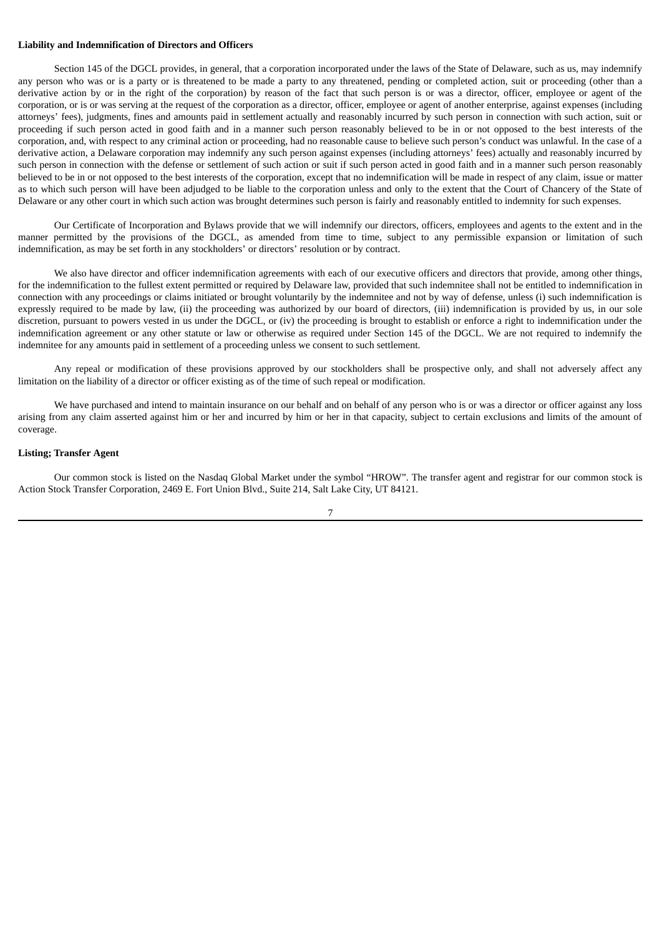#### **Liability and Indemnification of Directors and Officers**

Section 145 of the DGCL provides, in general, that a corporation incorporated under the laws of the State of Delaware, such as us, may indemnify any person who was or is a party or is threatened to be made a party to any threatened, pending or completed action, suit or proceeding (other than a derivative action by or in the right of the corporation) by reason of the fact that such person is or was a director, officer, employee or agent of the corporation, or is or was serving at the request of the corporation as a director, officer, employee or agent of another enterprise, against expenses (including attorneys' fees), judgments, fines and amounts paid in settlement actually and reasonably incurred by such person in connection with such action, suit or proceeding if such person acted in good faith and in a manner such person reasonably believed to be in or not opposed to the best interests of the corporation, and, with respect to any criminal action or proceeding, had no reasonable cause to believe such person's conduct was unlawful. In the case of a derivative action, a Delaware corporation may indemnify any such person against expenses (including attorneys' fees) actually and reasonably incurred by such person in connection with the defense or settlement of such action or suit if such person acted in good faith and in a manner such person reasonably believed to be in or not opposed to the best interests of the corporation, except that no indemnification will be made in respect of any claim, issue or matter as to which such person will have been adjudged to be liable to the corporation unless and only to the extent that the Court of Chancery of the State of Delaware or any other court in which such action was brought determines such person is fairly and reasonably entitled to indemnity for such expenses.

Our Certificate of Incorporation and Bylaws provide that we will indemnify our directors, officers, employees and agents to the extent and in the manner permitted by the provisions of the DGCL, as amended from time to time, subject to any permissible expansion or limitation of such indemnification, as may be set forth in any stockholders' or directors' resolution or by contract.

We also have director and officer indemnification agreements with each of our executive officers and directors that provide, among other things, for the indemnification to the fullest extent permitted or required by Delaware law, provided that such indemnitee shall not be entitled to indemnification in connection with any proceedings or claims initiated or brought voluntarily by the indemnitee and not by way of defense, unless (i) such indemnification is expressly required to be made by law, (ii) the proceeding was authorized by our board of directors, (iii) indemnification is provided by us, in our sole discretion, pursuant to powers vested in us under the DGCL, or (iv) the proceeding is brought to establish or enforce a right to indemnification under the indemnification agreement or any other statute or law or otherwise as required under Section 145 of the DGCL. We are not required to indemnify the indemnitee for any amounts paid in settlement of a proceeding unless we consent to such settlement.

Any repeal or modification of these provisions approved by our stockholders shall be prospective only, and shall not adversely affect any limitation on the liability of a director or officer existing as of the time of such repeal or modification.

We have purchased and intend to maintain insurance on our behalf and on behalf of any person who is or was a director or officer against any loss arising from any claim asserted against him or her and incurred by him or her in that capacity, subject to certain exclusions and limits of the amount of coverage.

## **Listing; Transfer Agent**

Our common stock is listed on the Nasdaq Global Market under the symbol "HROW". The transfer agent and registrar for our common stock is Action Stock Transfer Corporation, 2469 E. Fort Union Blvd., Suite 214, Salt Lake City, UT 84121.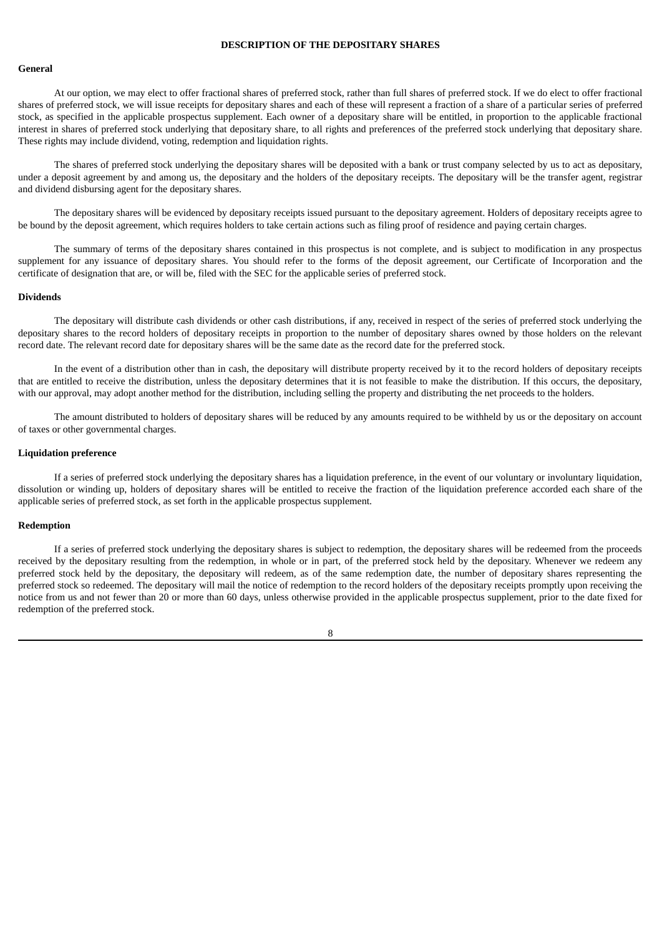## **DESCRIPTION OF THE DEPOSITARY SHARES**

#### <span id="page-12-0"></span>**General**

At our option, we may elect to offer fractional shares of preferred stock, rather than full shares of preferred stock. If we do elect to offer fractional shares of preferred stock, we will issue receipts for depositary shares and each of these will represent a fraction of a share of a particular series of preferred stock, as specified in the applicable prospectus supplement. Each owner of a depositary share will be entitled, in proportion to the applicable fractional interest in shares of preferred stock underlying that depositary share, to all rights and preferences of the preferred stock underlying that depositary share. These rights may include dividend, voting, redemption and liquidation rights.

The shares of preferred stock underlying the depositary shares will be deposited with a bank or trust company selected by us to act as depositary, under a deposit agreement by and among us, the depositary and the holders of the depositary receipts. The depositary will be the transfer agent, registrar and dividend disbursing agent for the depositary shares.

The depositary shares will be evidenced by depositary receipts issued pursuant to the depositary agreement. Holders of depositary receipts agree to be bound by the deposit agreement, which requires holders to take certain actions such as filing proof of residence and paying certain charges.

The summary of terms of the depositary shares contained in this prospectus is not complete, and is subject to modification in any prospectus supplement for any issuance of depositary shares. You should refer to the forms of the deposit agreement, our Certificate of Incorporation and the certificate of designation that are, or will be, filed with the SEC for the applicable series of preferred stock.

#### **Dividends**

The depositary will distribute cash dividends or other cash distributions, if any, received in respect of the series of preferred stock underlying the depositary shares to the record holders of depositary receipts in proportion to the number of depositary shares owned by those holders on the relevant record date. The relevant record date for depositary shares will be the same date as the record date for the preferred stock.

In the event of a distribution other than in cash, the depositary will distribute property received by it to the record holders of depositary receipts that are entitled to receive the distribution, unless the depositary determines that it is not feasible to make the distribution. If this occurs, the depositary, with our approval, may adopt another method for the distribution, including selling the property and distributing the net proceeds to the holders.

The amount distributed to holders of depositary shares will be reduced by any amounts required to be withheld by us or the depositary on account of taxes or other governmental charges.

#### **Liquidation preference**

If a series of preferred stock underlying the depositary shares has a liquidation preference, in the event of our voluntary or involuntary liquidation, dissolution or winding up, holders of depositary shares will be entitled to receive the fraction of the liquidation preference accorded each share of the applicable series of preferred stock, as set forth in the applicable prospectus supplement.

#### **Redemption**

If a series of preferred stock underlying the depositary shares is subject to redemption, the depositary shares will be redeemed from the proceeds received by the depositary resulting from the redemption, in whole or in part, of the preferred stock held by the depositary. Whenever we redeem any preferred stock held by the depositary, the depositary will redeem, as of the same redemption date, the number of depositary shares representing the preferred stock so redeemed. The depositary will mail the notice of redemption to the record holders of the depositary receipts promptly upon receiving the notice from us and not fewer than 20 or more than 60 days, unless otherwise provided in the applicable prospectus supplement, prior to the date fixed for redemption of the preferred stock.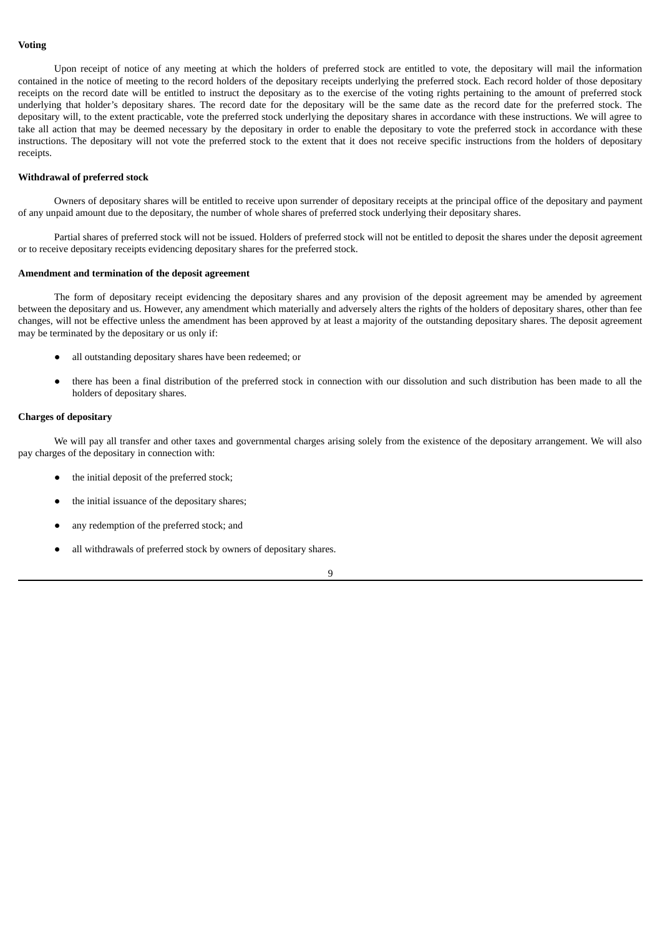## **Voting**

Upon receipt of notice of any meeting at which the holders of preferred stock are entitled to vote, the depositary will mail the information contained in the notice of meeting to the record holders of the depositary receipts underlying the preferred stock. Each record holder of those depositary receipts on the record date will be entitled to instruct the depositary as to the exercise of the voting rights pertaining to the amount of preferred stock underlying that holder's depositary shares. The record date for the depositary will be the same date as the record date for the preferred stock. The depositary will, to the extent practicable, vote the preferred stock underlying the depositary shares in accordance with these instructions. We will agree to take all action that may be deemed necessary by the depositary in order to enable the depositary to vote the preferred stock in accordance with these instructions. The depositary will not vote the preferred stock to the extent that it does not receive specific instructions from the holders of depositary receipts.

## **Withdrawal of preferred stock**

Owners of depositary shares will be entitled to receive upon surrender of depositary receipts at the principal office of the depositary and payment of any unpaid amount due to the depositary, the number of whole shares of preferred stock underlying their depositary shares.

Partial shares of preferred stock will not be issued. Holders of preferred stock will not be entitled to deposit the shares under the deposit agreement or to receive depositary receipts evidencing depositary shares for the preferred stock.

## **Amendment and termination of the deposit agreement**

The form of depositary receipt evidencing the depositary shares and any provision of the deposit agreement may be amended by agreement between the depositary and us. However, any amendment which materially and adversely alters the rights of the holders of depositary shares, other than fee changes, will not be effective unless the amendment has been approved by at least a majority of the outstanding depositary shares. The deposit agreement may be terminated by the depositary or us only if:

- all outstanding depositary shares have been redeemed; or
- there has been a final distribution of the preferred stock in connection with our dissolution and such distribution has been made to all the holders of depositary shares.

## **Charges of depositary**

We will pay all transfer and other taxes and governmental charges arising solely from the existence of the depositary arrangement. We will also pay charges of the depositary in connection with:

- the initial deposit of the preferred stock;
- the initial issuance of the depositary shares;
- any redemption of the preferred stock; and
- all withdrawals of preferred stock by owners of depositary shares.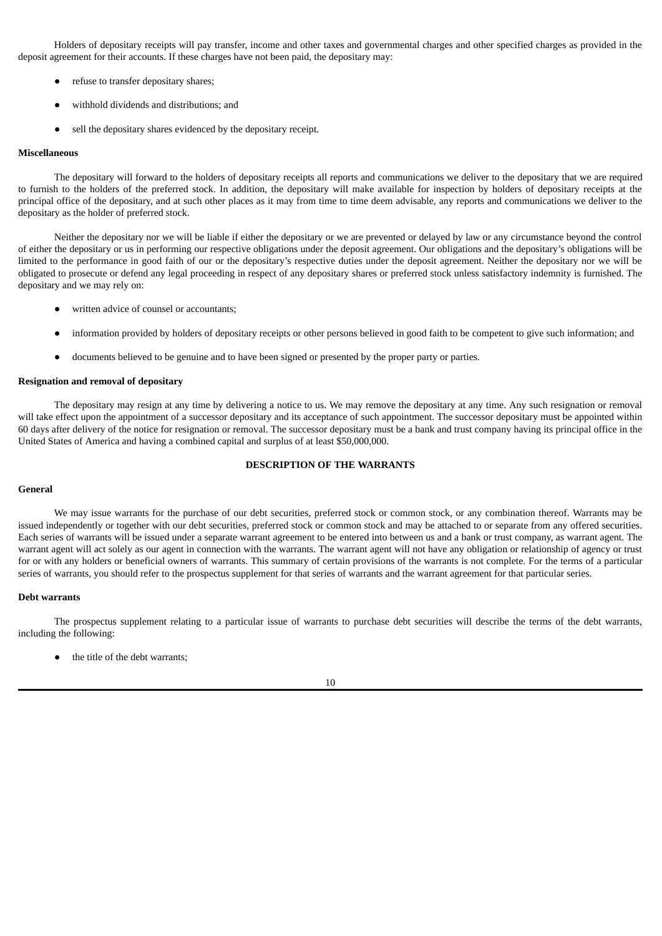Holders of depositary receipts will pay transfer, income and other taxes and governmental charges and other specified charges as provided in the deposit agreement for their accounts. If these charges have not been paid, the depositary may:

- refuse to transfer depositary shares;
- withhold dividends and distributions; and
- sell the depositary shares evidenced by the depositary receipt.

## **Miscellaneous**

The depositary will forward to the holders of depositary receipts all reports and communications we deliver to the depositary that we are required to furnish to the holders of the preferred stock. In addition, the depositary will make available for inspection by holders of depositary receipts at the principal office of the depositary, and at such other places as it may from time to time deem advisable, any reports and communications we deliver to the depositary as the holder of preferred stock.

Neither the depositary nor we will be liable if either the depositary or we are prevented or delayed by law or any circumstance beyond the control of either the depositary or us in performing our respective obligations under the deposit agreement. Our obligations and the depositary's obligations will be limited to the performance in good faith of our or the depositary's respective duties under the deposit agreement. Neither the depositary nor we will be obligated to prosecute or defend any legal proceeding in respect of any depositary shares or preferred stock unless satisfactory indemnity is furnished. The depositary and we may rely on:

- written advice of counsel or accountants;
- information provided by holders of depositary receipts or other persons believed in good faith to be competent to give such information; and
- documents believed to be genuine and to have been signed or presented by the proper party or parties.

#### **Resignation and removal of depositary**

The depositary may resign at any time by delivering a notice to us. We may remove the depositary at any time. Any such resignation or removal will take effect upon the appointment of a successor depositary and its acceptance of such appointment. The successor depositary must be appointed within 60 days after delivery of the notice for resignation or removal. The successor depositary must be a bank and trust company having its principal office in the United States of America and having a combined capital and surplus of at least \$50,000,000.

## **DESCRIPTION OF THE WARRANTS**

#### <span id="page-14-0"></span>**General**

We may issue warrants for the purchase of our debt securities, preferred stock or common stock, or any combination thereof. Warrants may be issued independently or together with our debt securities, preferred stock or common stock and may be attached to or separate from any offered securities. Each series of warrants will be issued under a separate warrant agreement to be entered into between us and a bank or trust company, as warrant agent. The warrant agent will act solely as our agent in connection with the warrants. The warrant agent will not have any obligation or relationship of agency or trust for or with any holders or beneficial owners of warrants. This summary of certain provisions of the warrants is not complete. For the terms of a particular series of warrants, you should refer to the prospectus supplement for that series of warrants and the warrant agreement for that particular series.

#### **Debt warrants**

The prospectus supplement relating to a particular issue of warrants to purchase debt securities will describe the terms of the debt warrants, including the following:

the title of the debt warrants;

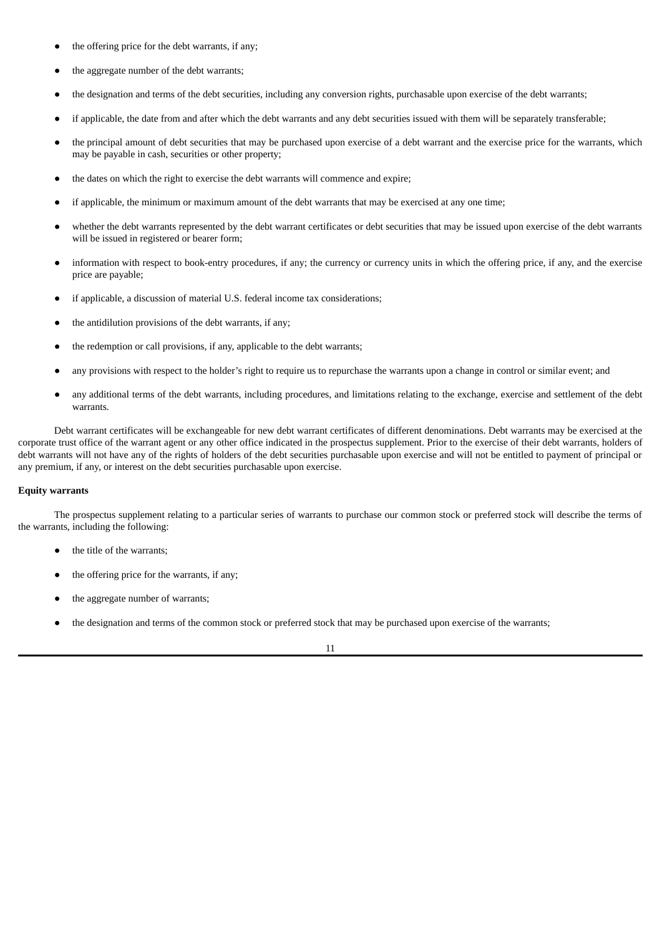- the offering price for the debt warrants, if any;
- the aggregate number of the debt warrants;
- the designation and terms of the debt securities, including any conversion rights, purchasable upon exercise of the debt warrants;
- if applicable, the date from and after which the debt warrants and any debt securities issued with them will be separately transferable;
- the principal amount of debt securities that may be purchased upon exercise of a debt warrant and the exercise price for the warrants, which may be payable in cash, securities or other property;
- the dates on which the right to exercise the debt warrants will commence and expire;
- if applicable, the minimum or maximum amount of the debt warrants that may be exercised at any one time;
- whether the debt warrants represented by the debt warrant certificates or debt securities that may be issued upon exercise of the debt warrants will be issued in registered or bearer form;
- information with respect to book-entry procedures, if any; the currency or currency units in which the offering price, if any, and the exercise price are payable;
- if applicable, a discussion of material U.S. federal income tax considerations;
- the antidilution provisions of the debt warrants, if any;
- the redemption or call provisions, if any, applicable to the debt warrants;
- any provisions with respect to the holder's right to require us to repurchase the warrants upon a change in control or similar event; and
- any additional terms of the debt warrants, including procedures, and limitations relating to the exchange, exercise and settlement of the debt warrants.

Debt warrant certificates will be exchangeable for new debt warrant certificates of different denominations. Debt warrants may be exercised at the corporate trust office of the warrant agent or any other office indicated in the prospectus supplement. Prior to the exercise of their debt warrants, holders of debt warrants will not have any of the rights of holders of the debt securities purchasable upon exercise and will not be entitled to payment of principal or any premium, if any, or interest on the debt securities purchasable upon exercise.

## **Equity warrants**

The prospectus supplement relating to a particular series of warrants to purchase our common stock or preferred stock will describe the terms of the warrants, including the following:

- the title of the warrants;
- the offering price for the warrants, if any;
- the aggregate number of warrants;
- the designation and terms of the common stock or preferred stock that may be purchased upon exercise of the warrants;

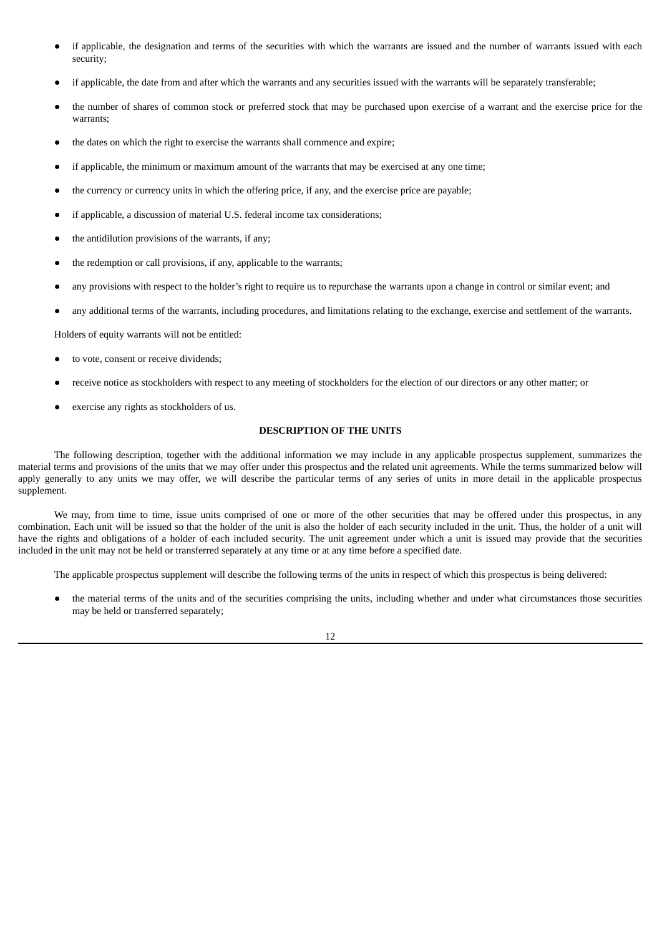- if applicable, the designation and terms of the securities with which the warrants are issued and the number of warrants issued with each security;
- if applicable, the date from and after which the warrants and any securities issued with the warrants will be separately transferable;
- the number of shares of common stock or preferred stock that may be purchased upon exercise of a warrant and the exercise price for the warrants;
- the dates on which the right to exercise the warrants shall commence and expire;
- if applicable, the minimum or maximum amount of the warrants that may be exercised at any one time;
- the currency or currency units in which the offering price, if any, and the exercise price are payable;
- if applicable, a discussion of material U.S. federal income tax considerations;
- the antidilution provisions of the warrants, if any;
- the redemption or call provisions, if any, applicable to the warrants;
- any provisions with respect to the holder's right to require us to repurchase the warrants upon a change in control or similar event; and
- any additional terms of the warrants, including procedures, and limitations relating to the exchange, exercise and settlement of the warrants.

Holders of equity warrants will not be entitled:

- to vote, consent or receive dividends;
- receive notice as stockholders with respect to any meeting of stockholders for the election of our directors or any other matter; or
- exercise any rights as stockholders of us.

## **DESCRIPTION OF THE UNITS**

<span id="page-16-0"></span>The following description, together with the additional information we may include in any applicable prospectus supplement, summarizes the material terms and provisions of the units that we may offer under this prospectus and the related unit agreements. While the terms summarized below will apply generally to any units we may offer, we will describe the particular terms of any series of units in more detail in the applicable prospectus supplement.

We may, from time to time, issue units comprised of one or more of the other securities that may be offered under this prospectus, in any combination. Each unit will be issued so that the holder of the unit is also the holder of each security included in the unit. Thus, the holder of a unit will have the rights and obligations of a holder of each included security. The unit agreement under which a unit is issued may provide that the securities included in the unit may not be held or transferred separately at any time or at any time before a specified date.

The applicable prospectus supplement will describe the following terms of the units in respect of which this prospectus is being delivered:

the material terms of the units and of the securities comprising the units, including whether and under what circumstances those securities may be held or transferred separately;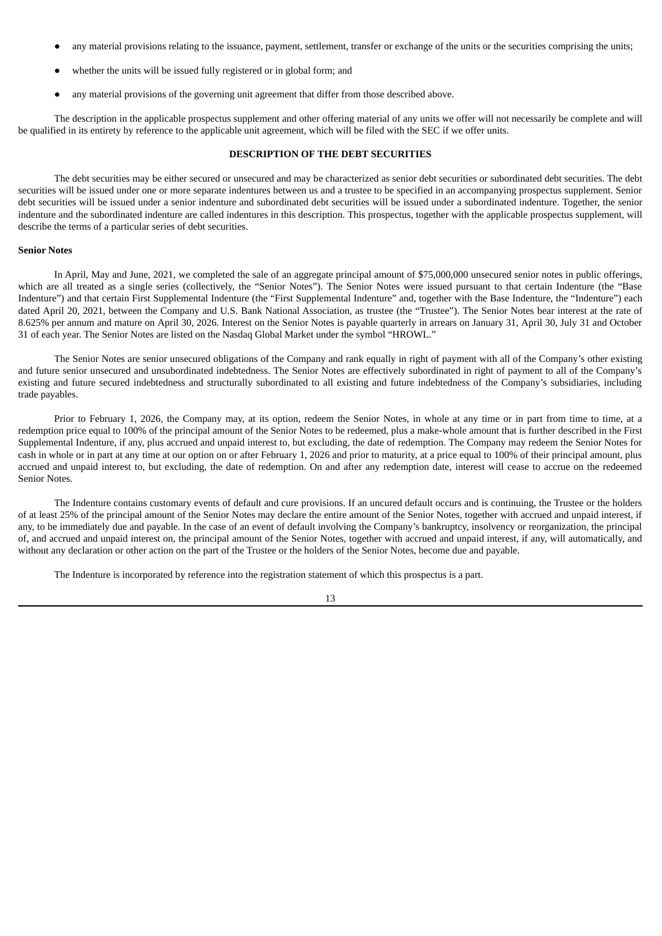- any material provisions relating to the issuance, payment, settlement, transfer or exchange of the units or the securities comprising the units;
- whether the units will be issued fully registered or in global form; and
- any material provisions of the governing unit agreement that differ from those described above.

The description in the applicable prospectus supplement and other offering material of any units we offer will not necessarily be complete and will be qualified in its entirety by reference to the applicable unit agreement, which will be filed with the SEC if we offer units.

## **DESCRIPTION OF THE DEBT SECURITIES**

<span id="page-17-0"></span>The debt securities may be either secured or unsecured and may be characterized as senior debt securities or subordinated debt securities. The debt securities will be issued under one or more separate indentures between us and a trustee to be specified in an accompanying prospectus supplement. Senior debt securities will be issued under a senior indenture and subordinated debt securities will be issued under a subordinated indenture. Together, the senior indenture and the subordinated indenture are called indentures in this description. This prospectus, together with the applicable prospectus supplement, will describe the terms of a particular series of debt securities.

#### **Senior Notes**

In April, May and June, 2021, we completed the sale of an aggregate principal amount of \$75,000,000 unsecured senior notes in public offerings, which are all treated as a single series (collectively, the "Senior Notes"). The Senior Notes were issued pursuant to that certain Indenture (the "Base Indenture") and that certain First Supplemental Indenture (the "First Supplemental Indenture" and, together with the Base Indenture, the "Indenture") each dated April 20, 2021, between the Company and U.S. Bank National Association, as trustee (the "Trustee"). The Senior Notes bear interest at the rate of 8.625% per annum and mature on April 30, 2026. Interest on the Senior Notes is payable quarterly in arrears on January 31, April 30, July 31 and October 31 of each year. The Senior Notes are listed on the Nasdaq Global Market under the symbol "HROWL."

The Senior Notes are senior unsecured obligations of the Company and rank equally in right of payment with all of the Company's other existing and future senior unsecured and unsubordinated indebtedness. The Senior Notes are effectively subordinated in right of payment to all of the Company's existing and future secured indebtedness and structurally subordinated to all existing and future indebtedness of the Company's subsidiaries, including trade payables.

Prior to February 1, 2026, the Company may, at its option, redeem the Senior Notes, in whole at any time or in part from time to time, at a redemption price equal to 100% of the principal amount of the Senior Notes to be redeemed, plus a make-whole amount that is further described in the First Supplemental Indenture, if any, plus accrued and unpaid interest to, but excluding, the date of redemption. The Company may redeem the Senior Notes for cash in whole or in part at any time at our option on or after February 1, 2026 and prior to maturity, at a price equal to 100% of their principal amount, plus accrued and unpaid interest to, but excluding, the date of redemption. On and after any redemption date, interest will cease to accrue on the redeemed Senior Notes.

The Indenture contains customary events of default and cure provisions. If an uncured default occurs and is continuing, the Trustee or the holders of at least 25% of the principal amount of the Senior Notes may declare the entire amount of the Senior Notes, together with accrued and unpaid interest, if any, to be immediately due and payable. In the case of an event of default involving the Company's bankruptcy, insolvency or reorganization, the principal of, and accrued and unpaid interest on, the principal amount of the Senior Notes, together with accrued and unpaid interest, if any, will automatically, and without any declaration or other action on the part of the Trustee or the holders of the Senior Notes, become due and payable.

The Indenture is incorporated by reference into the registration statement of which this prospectus is a part.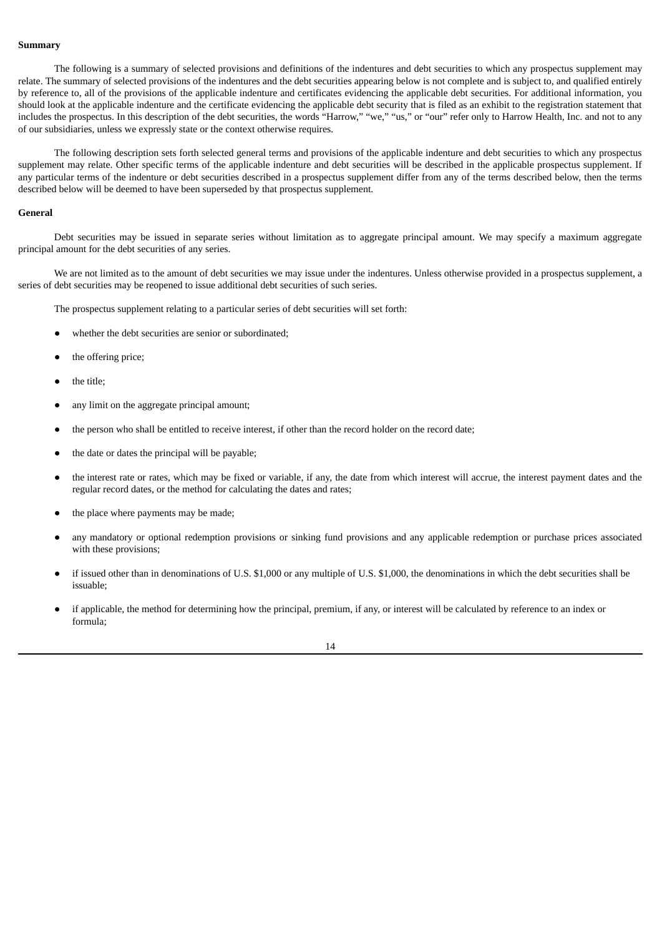## **Summary**

The following is a summary of selected provisions and definitions of the indentures and debt securities to which any prospectus supplement may relate. The summary of selected provisions of the indentures and the debt securities appearing below is not complete and is subject to, and qualified entirely by reference to, all of the provisions of the applicable indenture and certificates evidencing the applicable debt securities. For additional information, you should look at the applicable indenture and the certificate evidencing the applicable debt security that is filed as an exhibit to the registration statement that includes the prospectus. In this description of the debt securities, the words "Harrow," "we," "us," or "our" refer only to Harrow Health, Inc. and not to any of our subsidiaries, unless we expressly state or the context otherwise requires.

The following description sets forth selected general terms and provisions of the applicable indenture and debt securities to which any prospectus supplement may relate. Other specific terms of the applicable indenture and debt securities will be described in the applicable prospectus supplement. If any particular terms of the indenture or debt securities described in a prospectus supplement differ from any of the terms described below, then the terms described below will be deemed to have been superseded by that prospectus supplement.

## **General**

Debt securities may be issued in separate series without limitation as to aggregate principal amount. We may specify a maximum aggregate principal amount for the debt securities of any series.

We are not limited as to the amount of debt securities we may issue under the indentures. Unless otherwise provided in a prospectus supplement, a series of debt securities may be reopened to issue additional debt securities of such series.

The prospectus supplement relating to a particular series of debt securities will set forth:

- whether the debt securities are senior or subordinated;
- the offering price;
- the title:
- any limit on the aggregate principal amount;
- the person who shall be entitled to receive interest, if other than the record holder on the record date;
- the date or dates the principal will be payable;
- the interest rate or rates, which may be fixed or variable, if any, the date from which interest will accrue, the interest payment dates and the regular record dates, or the method for calculating the dates and rates;
- the place where payments may be made;
- any mandatory or optional redemption provisions or sinking fund provisions and any applicable redemption or purchase prices associated with these provisions;
- if issued other than in denominations of U.S. \$1,000 or any multiple of U.S. \$1,000, the denominations in which the debt securities shall be issuable;
- if applicable, the method for determining how the principal, premium, if any, or interest will be calculated by reference to an index or formula;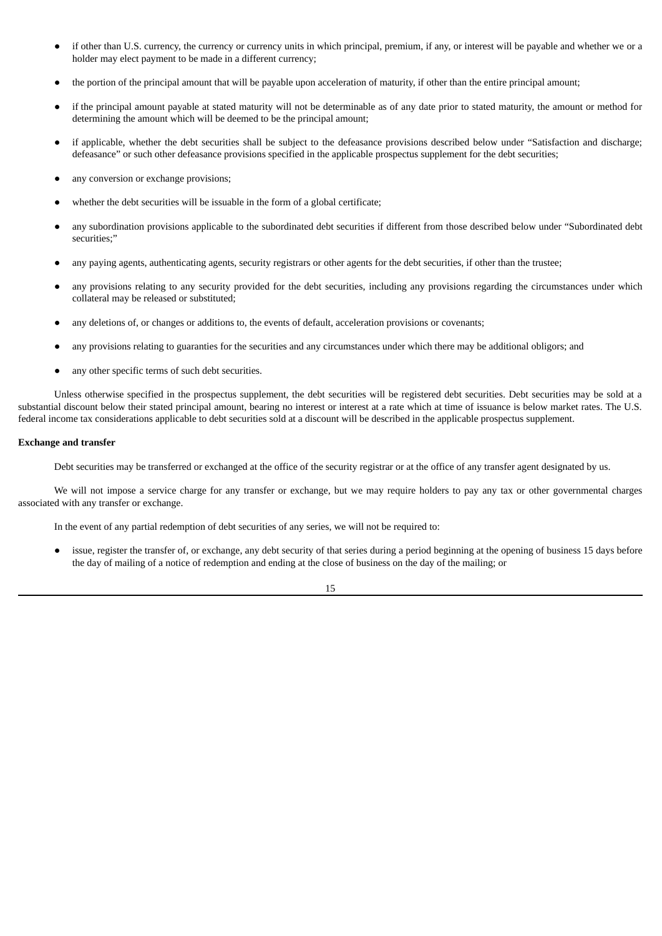- if other than U.S. currency, the currency or currency units in which principal, premium, if any, or interest will be payable and whether we or a holder may elect payment to be made in a different currency;
- the portion of the principal amount that will be payable upon acceleration of maturity, if other than the entire principal amount;
- if the principal amount payable at stated maturity will not be determinable as of any date prior to stated maturity, the amount or method for determining the amount which will be deemed to be the principal amount;
- if applicable, whether the debt securities shall be subject to the defeasance provisions described below under "Satisfaction and discharge; defeasance" or such other defeasance provisions specified in the applicable prospectus supplement for the debt securities;
- any conversion or exchange provisions;
- whether the debt securities will be issuable in the form of a global certificate;
- any subordination provisions applicable to the subordinated debt securities if different from those described below under "Subordinated debt securities;"
- any paying agents, authenticating agents, security registrars or other agents for the debt securities, if other than the trustee;
- any provisions relating to any security provided for the debt securities, including any provisions regarding the circumstances under which collateral may be released or substituted;
- any deletions of, or changes or additions to, the events of default, acceleration provisions or covenants;
- any provisions relating to guaranties for the securities and any circumstances under which there may be additional obligors; and
- any other specific terms of such debt securities.

Unless otherwise specified in the prospectus supplement, the debt securities will be registered debt securities. Debt securities may be sold at a substantial discount below their stated principal amount, bearing no interest or interest at a rate which at time of issuance is below market rates. The U.S. federal income tax considerations applicable to debt securities sold at a discount will be described in the applicable prospectus supplement.

## **Exchange and transfer**

Debt securities may be transferred or exchanged at the office of the security registrar or at the office of any transfer agent designated by us.

We will not impose a service charge for any transfer or exchange, but we may require holders to pay any tax or other governmental charges associated with any transfer or exchange.

In the event of any partial redemption of debt securities of any series, we will not be required to:

issue, register the transfer of, or exchange, any debt security of that series during a period beginning at the opening of business 15 days before the day of mailing of a notice of redemption and ending at the close of business on the day of the mailing; or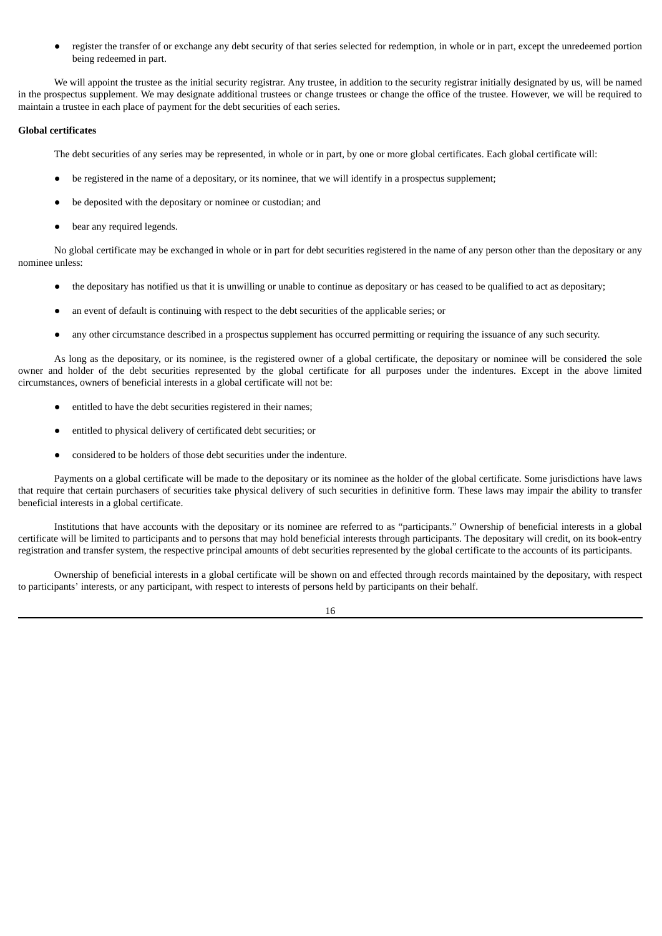● register the transfer of or exchange any debt security of that series selected for redemption, in whole or in part, except the unredeemed portion being redeemed in part.

We will appoint the trustee as the initial security registrar. Any trustee, in addition to the security registrar initially designated by us, will be named in the prospectus supplement. We may designate additional trustees or change trustees or change the office of the trustee. However, we will be required to maintain a trustee in each place of payment for the debt securities of each series.

## **Global certificates**

The debt securities of any series may be represented, in whole or in part, by one or more global certificates. Each global certificate will:

- be registered in the name of a depositary, or its nominee, that we will identify in a prospectus supplement;
- be deposited with the depositary or nominee or custodian; and
- bear any required legends.

No global certificate may be exchanged in whole or in part for debt securities registered in the name of any person other than the depositary or any nominee unless:

- the depositary has notified us that it is unwilling or unable to continue as depositary or has ceased to be qualified to act as depositary;
- an event of default is continuing with respect to the debt securities of the applicable series; or
- any other circumstance described in a prospectus supplement has occurred permitting or requiring the issuance of any such security.

As long as the depositary, or its nominee, is the registered owner of a global certificate, the depositary or nominee will be considered the sole owner and holder of the debt securities represented by the global certificate for all purposes under the indentures. Except in the above limited circumstances, owners of beneficial interests in a global certificate will not be:

- entitled to have the debt securities registered in their names;
- entitled to physical delivery of certificated debt securities; or
- considered to be holders of those debt securities under the indenture.

Payments on a global certificate will be made to the depositary or its nominee as the holder of the global certificate. Some jurisdictions have laws that require that certain purchasers of securities take physical delivery of such securities in definitive form. These laws may impair the ability to transfer beneficial interests in a global certificate.

Institutions that have accounts with the depositary or its nominee are referred to as "participants." Ownership of beneficial interests in a global certificate will be limited to participants and to persons that may hold beneficial interests through participants. The depositary will credit, on its book-entry registration and transfer system, the respective principal amounts of debt securities represented by the global certificate to the accounts of its participants.

Ownership of beneficial interests in a global certificate will be shown on and effected through records maintained by the depositary, with respect to participants' interests, or any participant, with respect to interests of persons held by participants on their behalf.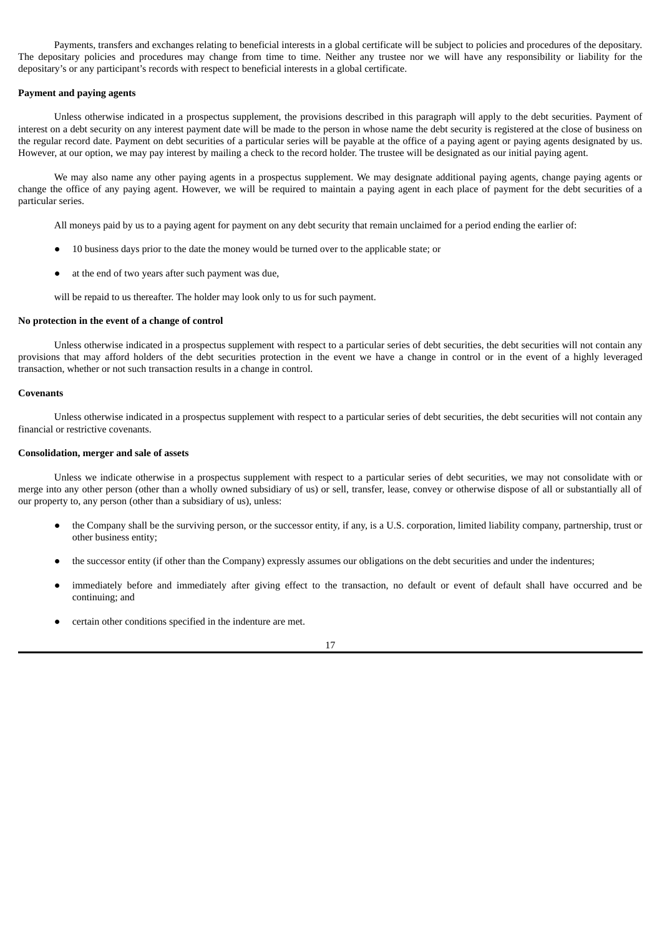Payments, transfers and exchanges relating to beneficial interests in a global certificate will be subject to policies and procedures of the depositary. The depositary policies and procedures may change from time to time. Neither any trustee nor we will have any responsibility or liability for the depositary's or any participant's records with respect to beneficial interests in a global certificate.

## **Payment and paying agents**

Unless otherwise indicated in a prospectus supplement, the provisions described in this paragraph will apply to the debt securities. Payment of interest on a debt security on any interest payment date will be made to the person in whose name the debt security is registered at the close of business on the regular record date. Payment on debt securities of a particular series will be payable at the office of a paying agent or paying agents designated by us. However, at our option, we may pay interest by mailing a check to the record holder. The trustee will be designated as our initial paying agent.

We may also name any other paying agents in a prospectus supplement. We may designate additional paying agents, change paying agents or change the office of any paying agent. However, we will be required to maintain a paying agent in each place of payment for the debt securities of a particular series.

All moneys paid by us to a paying agent for payment on any debt security that remain unclaimed for a period ending the earlier of:

- 10 business days prior to the date the money would be turned over to the applicable state; or
- at the end of two years after such payment was due,

will be repaid to us thereafter. The holder may look only to us for such payment.

#### **No protection in the event of a change of control**

Unless otherwise indicated in a prospectus supplement with respect to a particular series of debt securities, the debt securities will not contain any provisions that may afford holders of the debt securities protection in the event we have a change in control or in the event of a highly leveraged transaction, whether or not such transaction results in a change in control.

## **Covenants**

Unless otherwise indicated in a prospectus supplement with respect to a particular series of debt securities, the debt securities will not contain any financial or restrictive covenants.

## **Consolidation, merger and sale of assets**

Unless we indicate otherwise in a prospectus supplement with respect to a particular series of debt securities, we may not consolidate with or merge into any other person (other than a wholly owned subsidiary of us) or sell, transfer, lease, convey or otherwise dispose of all or substantially all of our property to, any person (other than a subsidiary of us), unless:

- the Company shall be the surviving person, or the successor entity, if any, is a U.S. corporation, limited liability company, partnership, trust or other business entity;
- the successor entity (if other than the Company) expressly assumes our obligations on the debt securities and under the indentures;
- immediately before and immediately after giving effect to the transaction, no default or event of default shall have occurred and be continuing; and
- certain other conditions specified in the indenture are met.

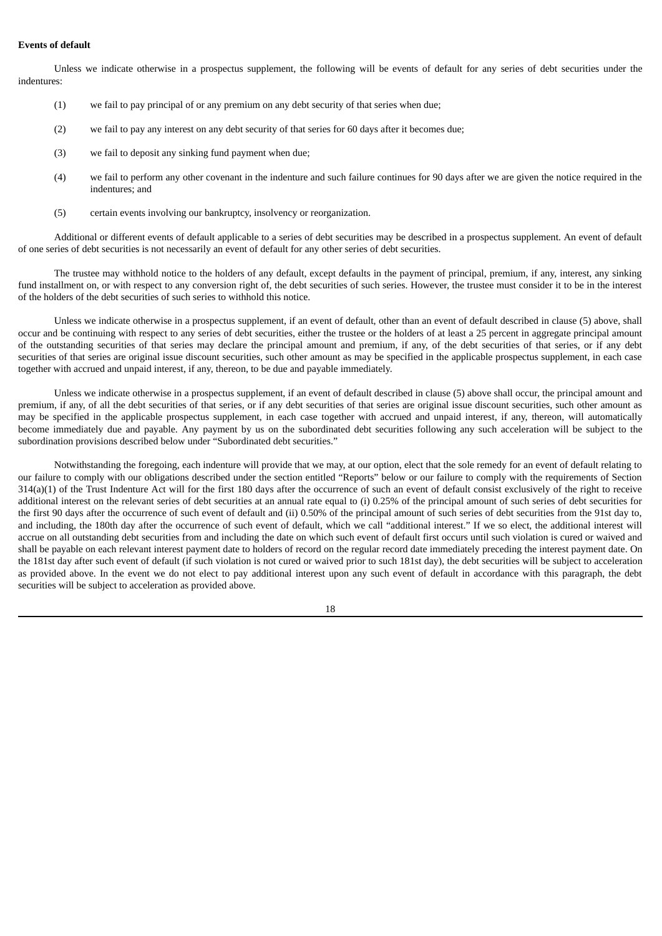## **Events of default**

Unless we indicate otherwise in a prospectus supplement, the following will be events of default for any series of debt securities under the indentures:

- (1) we fail to pay principal of or any premium on any debt security of that series when due;
- (2) we fail to pay any interest on any debt security of that series for 60 days after it becomes due;
- (3) we fail to deposit any sinking fund payment when due;
- (4) we fail to perform any other covenant in the indenture and such failure continues for 90 days after we are given the notice required in the indentures; and
- (5) certain events involving our bankruptcy, insolvency or reorganization.

Additional or different events of default applicable to a series of debt securities may be described in a prospectus supplement. An event of default of one series of debt securities is not necessarily an event of default for any other series of debt securities.

The trustee may withhold notice to the holders of any default, except defaults in the payment of principal, premium, if any, interest, any sinking fund installment on, or with respect to any conversion right of, the debt securities of such series. However, the trustee must consider it to be in the interest of the holders of the debt securities of such series to withhold this notice.

Unless we indicate otherwise in a prospectus supplement, if an event of default, other than an event of default described in clause (5) above, shall occur and be continuing with respect to any series of debt securities, either the trustee or the holders of at least a 25 percent in aggregate principal amount of the outstanding securities of that series may declare the principal amount and premium, if any, of the debt securities of that series, or if any debt securities of that series are original issue discount securities, such other amount as may be specified in the applicable prospectus supplement, in each case together with accrued and unpaid interest, if any, thereon, to be due and payable immediately.

Unless we indicate otherwise in a prospectus supplement, if an event of default described in clause (5) above shall occur, the principal amount and premium, if any, of all the debt securities of that series, or if any debt securities of that series are original issue discount securities, such other amount as may be specified in the applicable prospectus supplement, in each case together with accrued and unpaid interest, if any, thereon, will automatically become immediately due and payable. Any payment by us on the subordinated debt securities following any such acceleration will be subject to the subordination provisions described below under "Subordinated debt securities."

Notwithstanding the foregoing, each indenture will provide that we may, at our option, elect that the sole remedy for an event of default relating to our failure to comply with our obligations described under the section entitled "Reports" below or our failure to comply with the requirements of Section 314(a)(1) of the Trust Indenture Act will for the first 180 days after the occurrence of such an event of default consist exclusively of the right to receive additional interest on the relevant series of debt securities at an annual rate equal to (i) 0.25% of the principal amount of such series of debt securities for the first 90 days after the occurrence of such event of default and (ii) 0.50% of the principal amount of such series of debt securities from the 91st day to, and including, the 180th day after the occurrence of such event of default, which we call "additional interest." If we so elect, the additional interest will accrue on all outstanding debt securities from and including the date on which such event of default first occurs until such violation is cured or waived and shall be payable on each relevant interest payment date to holders of record on the regular record date immediately preceding the interest payment date. On the 181st day after such event of default (if such violation is not cured or waived prior to such 181st day), the debt securities will be subject to acceleration as provided above. In the event we do not elect to pay additional interest upon any such event of default in accordance with this paragraph, the debt securities will be subject to acceleration as provided above.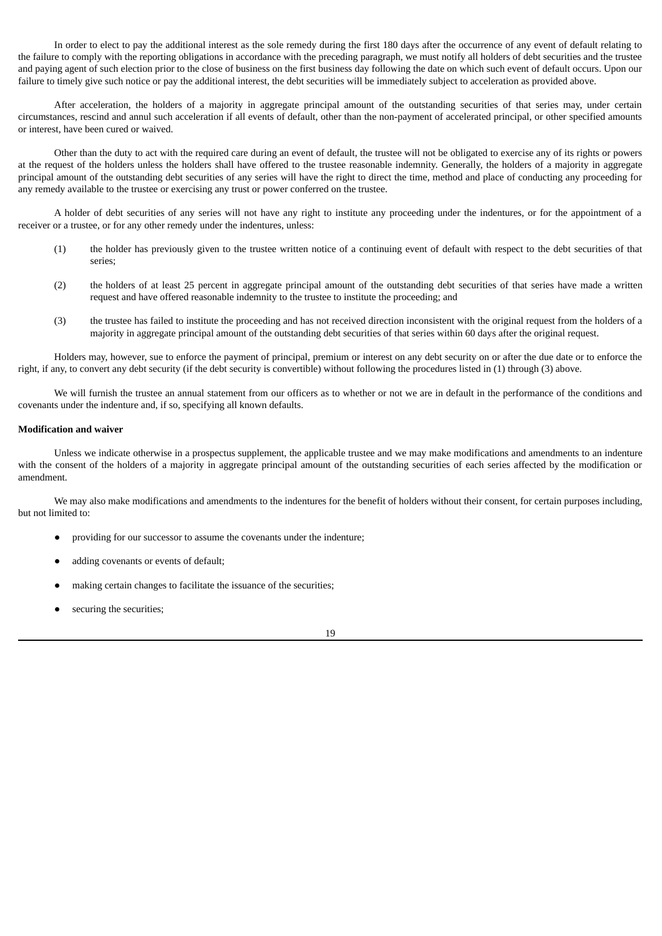In order to elect to pay the additional interest as the sole remedy during the first 180 days after the occurrence of any event of default relating to the failure to comply with the reporting obligations in accordance with the preceding paragraph, we must notify all holders of debt securities and the trustee and paying agent of such election prior to the close of business on the first business day following the date on which such event of default occurs. Upon our failure to timely give such notice or pay the additional interest, the debt securities will be immediately subject to acceleration as provided above.

After acceleration, the holders of a majority in aggregate principal amount of the outstanding securities of that series may, under certain circumstances, rescind and annul such acceleration if all events of default, other than the non-payment of accelerated principal, or other specified amounts or interest, have been cured or waived.

Other than the duty to act with the required care during an event of default, the trustee will not be obligated to exercise any of its rights or powers at the request of the holders unless the holders shall have offered to the trustee reasonable indemnity. Generally, the holders of a majority in aggregate principal amount of the outstanding debt securities of any series will have the right to direct the time, method and place of conducting any proceeding for any remedy available to the trustee or exercising any trust or power conferred on the trustee.

A holder of debt securities of any series will not have any right to institute any proceeding under the indentures, or for the appointment of a receiver or a trustee, or for any other remedy under the indentures, unless:

- (1) the holder has previously given to the trustee written notice of a continuing event of default with respect to the debt securities of that series;
- (2) the holders of at least 25 percent in aggregate principal amount of the outstanding debt securities of that series have made a written request and have offered reasonable indemnity to the trustee to institute the proceeding; and
- (3) the trustee has failed to institute the proceeding and has not received direction inconsistent with the original request from the holders of a majority in aggregate principal amount of the outstanding debt securities of that series within 60 days after the original request.

Holders may, however, sue to enforce the payment of principal, premium or interest on any debt security on or after the due date or to enforce the right, if any, to convert any debt security (if the debt security is convertible) without following the procedures listed in (1) through (3) above.

We will furnish the trustee an annual statement from our officers as to whether or not we are in default in the performance of the conditions and covenants under the indenture and, if so, specifying all known defaults.

#### **Modification and waiver**

Unless we indicate otherwise in a prospectus supplement, the applicable trustee and we may make modifications and amendments to an indenture with the consent of the holders of a majority in aggregate principal amount of the outstanding securities of each series affected by the modification or amendment.

We may also make modifications and amendments to the indentures for the benefit of holders without their consent, for certain purposes including, but not limited to:

- providing for our successor to assume the covenants under the indenture;
- adding covenants or events of default;
- making certain changes to facilitate the issuance of the securities;
- securing the securities;

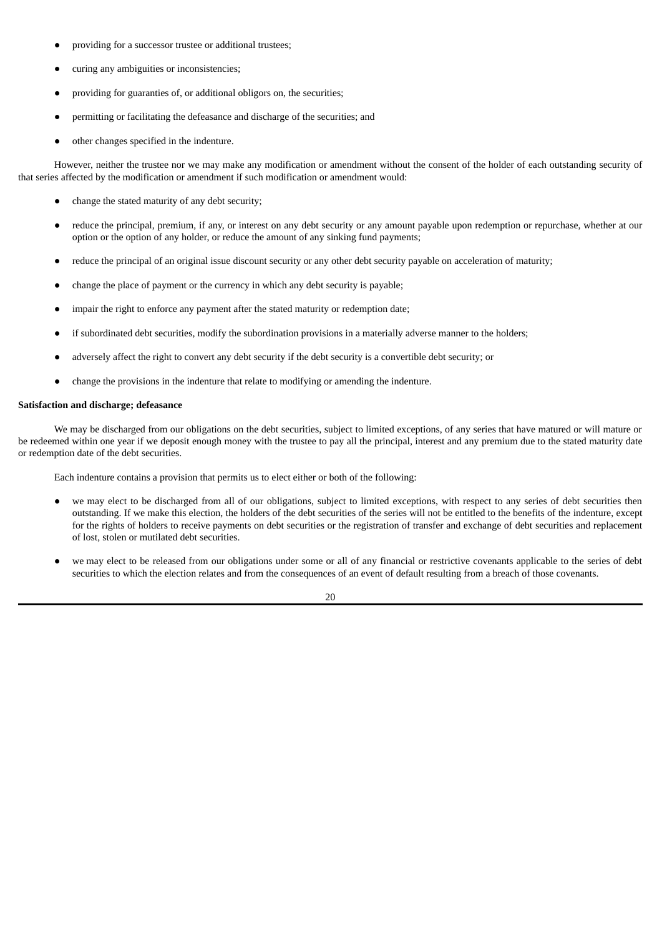- providing for a successor trustee or additional trustees;
- curing any ambiguities or inconsistencies;
- providing for guaranties of, or additional obligors on, the securities;
- permitting or facilitating the defeasance and discharge of the securities; and
- other changes specified in the indenture.

However, neither the trustee nor we may make any modification or amendment without the consent of the holder of each outstanding security of that series affected by the modification or amendment if such modification or amendment would:

- change the stated maturity of any debt security;
- reduce the principal, premium, if any, or interest on any debt security or any amount payable upon redemption or repurchase, whether at our option or the option of any holder, or reduce the amount of any sinking fund payments;
- reduce the principal of an original issue discount security or any other debt security payable on acceleration of maturity;
- change the place of payment or the currency in which any debt security is payable;
- impair the right to enforce any payment after the stated maturity or redemption date;
- if subordinated debt securities, modify the subordination provisions in a materially adverse manner to the holders;
- adversely affect the right to convert any debt security if the debt security is a convertible debt security; or
- change the provisions in the indenture that relate to modifying or amending the indenture.

#### **Satisfaction and discharge; defeasance**

We may be discharged from our obligations on the debt securities, subject to limited exceptions, of any series that have matured or will mature or be redeemed within one year if we deposit enough money with the trustee to pay all the principal, interest and any premium due to the stated maturity date or redemption date of the debt securities.

Each indenture contains a provision that permits us to elect either or both of the following:

- we may elect to be discharged from all of our obligations, subject to limited exceptions, with respect to any series of debt securities then outstanding. If we make this election, the holders of the debt securities of the series will not be entitled to the benefits of the indenture, except for the rights of holders to receive payments on debt securities or the registration of transfer and exchange of debt securities and replacement of lost, stolen or mutilated debt securities.
- we may elect to be released from our obligations under some or all of any financial or restrictive covenants applicable to the series of debt securities to which the election relates and from the consequences of an event of default resulting from a breach of those covenants.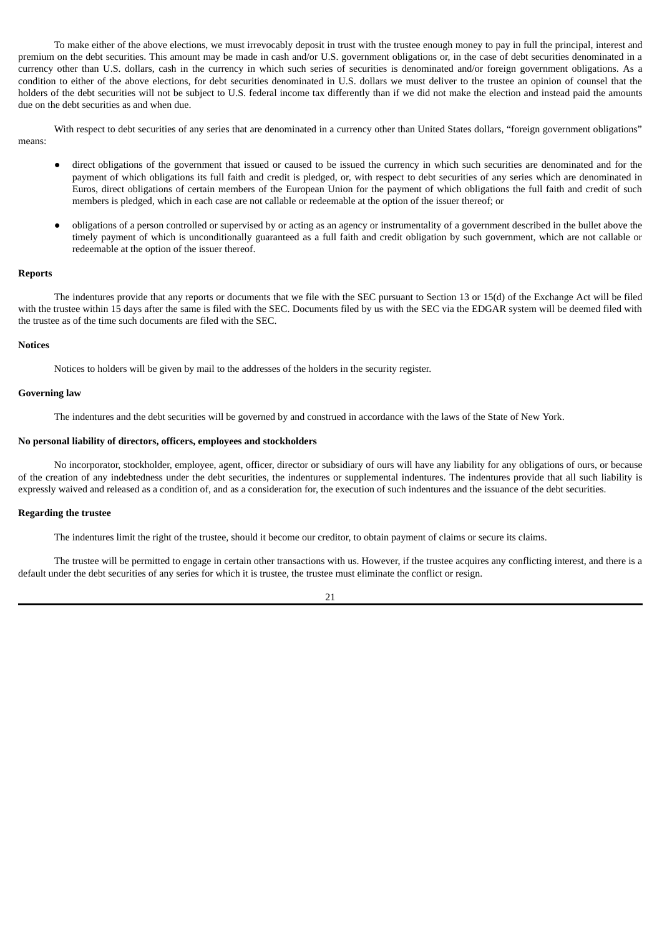To make either of the above elections, we must irrevocably deposit in trust with the trustee enough money to pay in full the principal, interest and premium on the debt securities. This amount may be made in cash and/or U.S. government obligations or, in the case of debt securities denominated in a currency other than U.S. dollars, cash in the currency in which such series of securities is denominated and/or foreign government obligations. As a condition to either of the above elections, for debt securities denominated in U.S. dollars we must deliver to the trustee an opinion of counsel that the holders of the debt securities will not be subject to U.S. federal income tax differently than if we did not make the election and instead paid the amounts due on the debt securities as and when due.

With respect to debt securities of any series that are denominated in a currency other than United States dollars, "foreign government obligations" means:

- direct obligations of the government that issued or caused to be issued the currency in which such securities are denominated and for the payment of which obligations its full faith and credit is pledged, or, with respect to debt securities of any series which are denominated in Euros, direct obligations of certain members of the European Union for the payment of which obligations the full faith and credit of such members is pledged, which in each case are not callable or redeemable at the option of the issuer thereof; or
- obligations of a person controlled or supervised by or acting as an agency or instrumentality of a government described in the bullet above the timely payment of which is unconditionally guaranteed as a full faith and credit obligation by such government, which are not callable or redeemable at the option of the issuer thereof.

#### **Reports**

The indentures provide that any reports or documents that we file with the SEC pursuant to Section 13 or 15(d) of the Exchange Act will be filed with the trustee within 15 days after the same is filed with the SEC. Documents filed by us with the SEC via the EDGAR system will be deemed filed with the trustee as of the time such documents are filed with the SEC.

#### **Notices**

Notices to holders will be given by mail to the addresses of the holders in the security register.

## **Governing law**

The indentures and the debt securities will be governed by and construed in accordance with the laws of the State of New York.

#### **No personal liability of directors, officers, employees and stockholders**

No incorporator, stockholder, employee, agent, officer, director or subsidiary of ours will have any liability for any obligations of ours, or because of the creation of any indebtedness under the debt securities, the indentures or supplemental indentures. The indentures provide that all such liability is expressly waived and released as a condition of, and as a consideration for, the execution of such indentures and the issuance of the debt securities.

#### **Regarding the trustee**

The indentures limit the right of the trustee, should it become our creditor, to obtain payment of claims or secure its claims.

The trustee will be permitted to engage in certain other transactions with us. However, if the trustee acquires any conflicting interest, and there is a default under the debt securities of any series for which it is trustee, the trustee must eliminate the conflict or resign.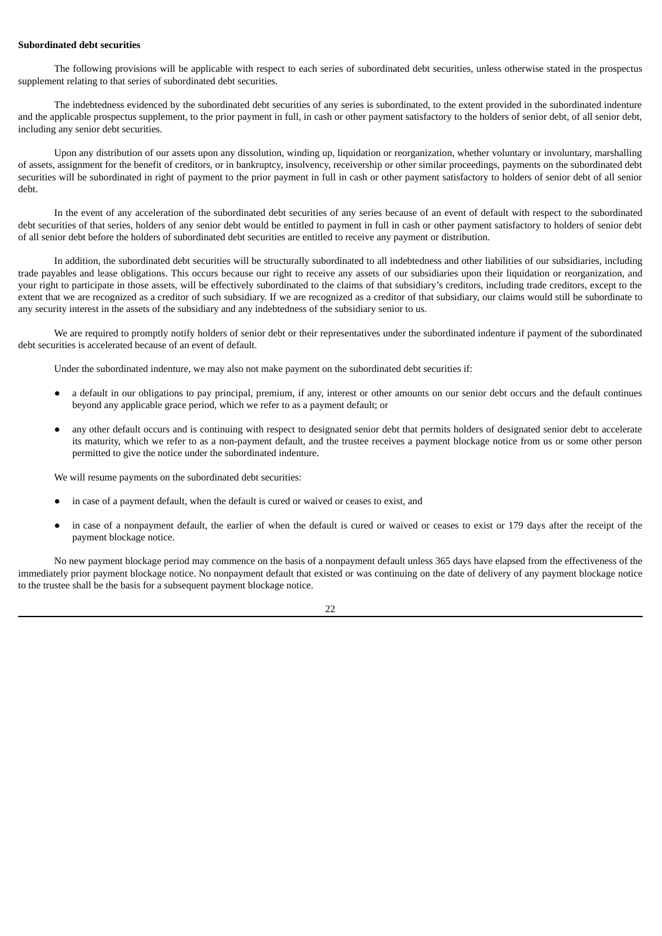## **Subordinated debt securities**

The following provisions will be applicable with respect to each series of subordinated debt securities, unless otherwise stated in the prospectus supplement relating to that series of subordinated debt securities.

The indebtedness evidenced by the subordinated debt securities of any series is subordinated, to the extent provided in the subordinated indenture and the applicable prospectus supplement, to the prior payment in full, in cash or other payment satisfactory to the holders of senior debt, of all senior debt, including any senior debt securities.

Upon any distribution of our assets upon any dissolution, winding up, liquidation or reorganization, whether voluntary or involuntary, marshalling of assets, assignment for the benefit of creditors, or in bankruptcy, insolvency, receivership or other similar proceedings, payments on the subordinated debt securities will be subordinated in right of payment to the prior payment in full in cash or other payment satisfactory to holders of senior debt of all senior debt.

In the event of any acceleration of the subordinated debt securities of any series because of an event of default with respect to the subordinated debt securities of that series, holders of any senior debt would be entitled to payment in full in cash or other payment satisfactory to holders of senior debt of all senior debt before the holders of subordinated debt securities are entitled to receive any payment or distribution.

In addition, the subordinated debt securities will be structurally subordinated to all indebtedness and other liabilities of our subsidiaries, including trade payables and lease obligations. This occurs because our right to receive any assets of our subsidiaries upon their liquidation or reorganization, and your right to participate in those assets, will be effectively subordinated to the claims of that subsidiary's creditors, including trade creditors, except to the extent that we are recognized as a creditor of such subsidiary. If we are recognized as a creditor of that subsidiary, our claims would still be subordinate to any security interest in the assets of the subsidiary and any indebtedness of the subsidiary senior to us.

We are required to promptly notify holders of senior debt or their representatives under the subordinated indenture if payment of the subordinated debt securities is accelerated because of an event of default.

Under the subordinated indenture, we may also not make payment on the subordinated debt securities if:

- a default in our obligations to pay principal, premium, if any, interest or other amounts on our senior debt occurs and the default continues beyond any applicable grace period, which we refer to as a payment default; or
- any other default occurs and is continuing with respect to designated senior debt that permits holders of designated senior debt to accelerate its maturity, which we refer to as a non-payment default, and the trustee receives a payment blockage notice from us or some other person permitted to give the notice under the subordinated indenture.

We will resume payments on the subordinated debt securities:

- in case of a payment default, when the default is cured or waived or ceases to exist, and
- in case of a nonpayment default, the earlier of when the default is cured or waived or ceases to exist or 179 days after the receipt of the payment blockage notice.

No new payment blockage period may commence on the basis of a nonpayment default unless 365 days have elapsed from the effectiveness of the immediately prior payment blockage notice. No nonpayment default that existed or was continuing on the date of delivery of any payment blockage notice to the trustee shall be the basis for a subsequent payment blockage notice.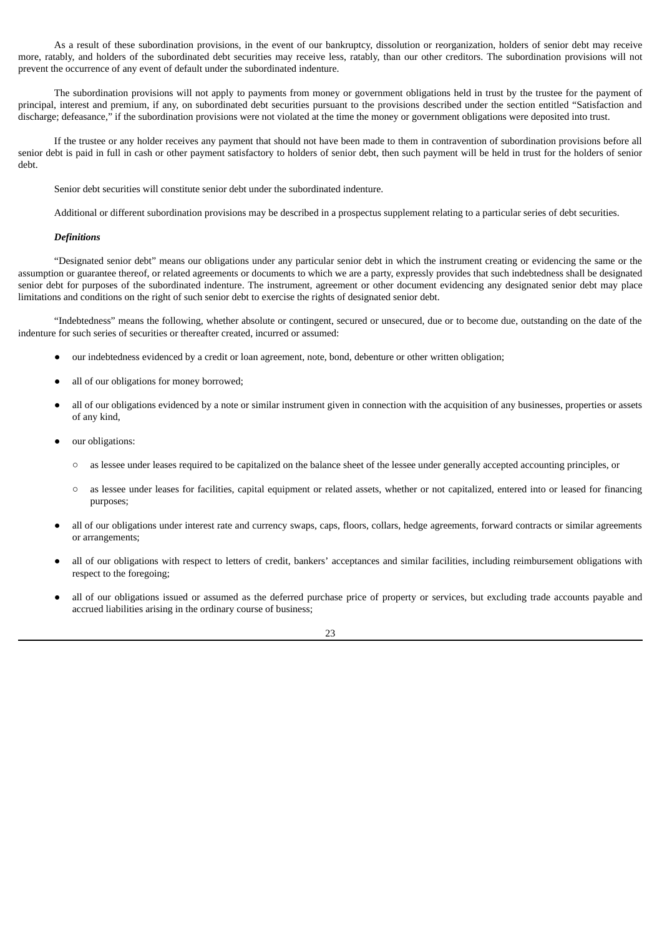As a result of these subordination provisions, in the event of our bankruptcy, dissolution or reorganization, holders of senior debt may receive more, ratably, and holders of the subordinated debt securities may receive less, ratably, than our other creditors. The subordination provisions will not prevent the occurrence of any event of default under the subordinated indenture.

The subordination provisions will not apply to payments from money or government obligations held in trust by the trustee for the payment of principal, interest and premium, if any, on subordinated debt securities pursuant to the provisions described under the section entitled "Satisfaction and discharge; defeasance," if the subordination provisions were not violated at the time the money or government obligations were deposited into trust.

If the trustee or any holder receives any payment that should not have been made to them in contravention of subordination provisions before all senior debt is paid in full in cash or other payment satisfactory to holders of senior debt, then such payment will be held in trust for the holders of senior debt.

Senior debt securities will constitute senior debt under the subordinated indenture.

Additional or different subordination provisions may be described in a prospectus supplement relating to a particular series of debt securities.

## *Definitions*

"Designated senior debt" means our obligations under any particular senior debt in which the instrument creating or evidencing the same or the assumption or guarantee thereof, or related agreements or documents to which we are a party, expressly provides that such indebtedness shall be designated senior debt for purposes of the subordinated indenture. The instrument, agreement or other document evidencing any designated senior debt may place limitations and conditions on the right of such senior debt to exercise the rights of designated senior debt.

"Indebtedness" means the following, whether absolute or contingent, secured or unsecured, due or to become due, outstanding on the date of the indenture for such series of securities or thereafter created, incurred or assumed:

- our indebtedness evidenced by a credit or loan agreement, note, bond, debenture or other written obligation;
- all of our obligations for money borrowed:
- all of our obligations evidenced by a note or similar instrument given in connection with the acquisition of any businesses, properties or assets of any kind,
- our obligations:
	- as lessee under leases required to be capitalized on the balance sheet of the lessee under generally accepted accounting principles, or
	- as lessee under leases for facilities, capital equipment or related assets, whether or not capitalized, entered into or leased for financing purposes;
- all of our obligations under interest rate and currency swaps, caps, floors, collars, hedge agreements, forward contracts or similar agreements or arrangements;
- all of our obligations with respect to letters of credit, bankers' acceptances and similar facilities, including reimbursement obligations with respect to the foregoing;
- all of our obligations issued or assumed as the deferred purchase price of property or services, but excluding trade accounts payable and accrued liabilities arising in the ordinary course of business;

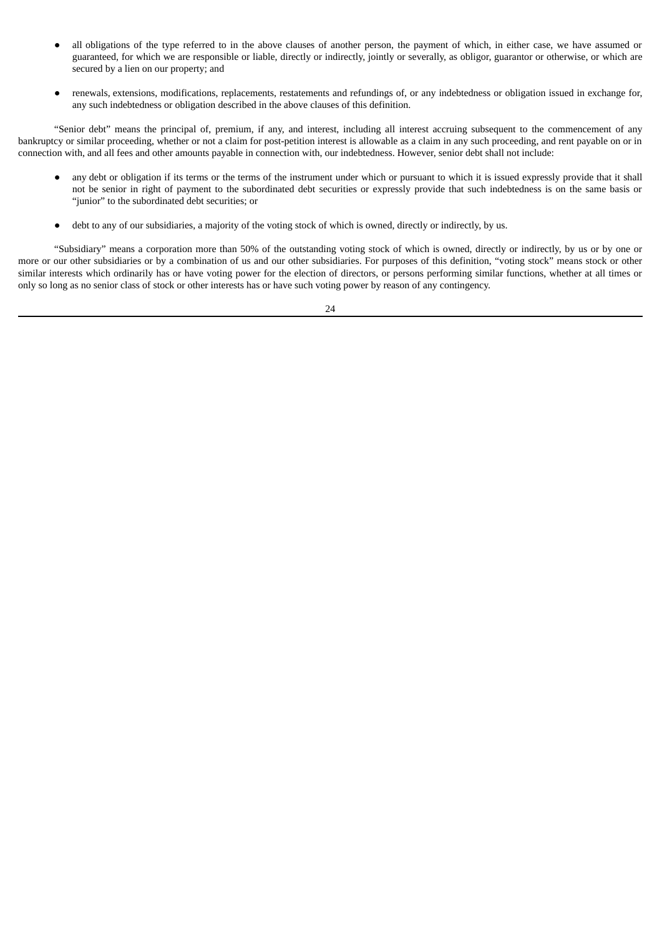- all obligations of the type referred to in the above clauses of another person, the payment of which, in either case, we have assumed or guaranteed, for which we are responsible or liable, directly or indirectly, jointly or severally, as obligor, guarantor or otherwise, or which are secured by a lien on our property; and
- renewals, extensions, modifications, replacements, restatements and refundings of, or any indebtedness or obligation issued in exchange for, any such indebtedness or obligation described in the above clauses of this definition.

"Senior debt" means the principal of, premium, if any, and interest, including all interest accruing subsequent to the commencement of any bankruptcy or similar proceeding, whether or not a claim for post-petition interest is allowable as a claim in any such proceeding, and rent payable on or in connection with, and all fees and other amounts payable in connection with, our indebtedness. However, senior debt shall not include:

- any debt or obligation if its terms or the terms of the instrument under which or pursuant to which it is issued expressly provide that it shall not be senior in right of payment to the subordinated debt securities or expressly provide that such indebtedness is on the same basis or "junior" to the subordinated debt securities; or
- debt to any of our subsidiaries, a majority of the voting stock of which is owned, directly or indirectly, by us.

"Subsidiary" means a corporation more than 50% of the outstanding voting stock of which is owned, directly or indirectly, by us or by one or more or our other subsidiaries or by a combination of us and our other subsidiaries. For purposes of this definition, "voting stock" means stock or other similar interests which ordinarily has or have voting power for the election of directors, or persons performing similar functions, whether at all times or only so long as no senior class of stock or other interests has or have such voting power by reason of any contingency.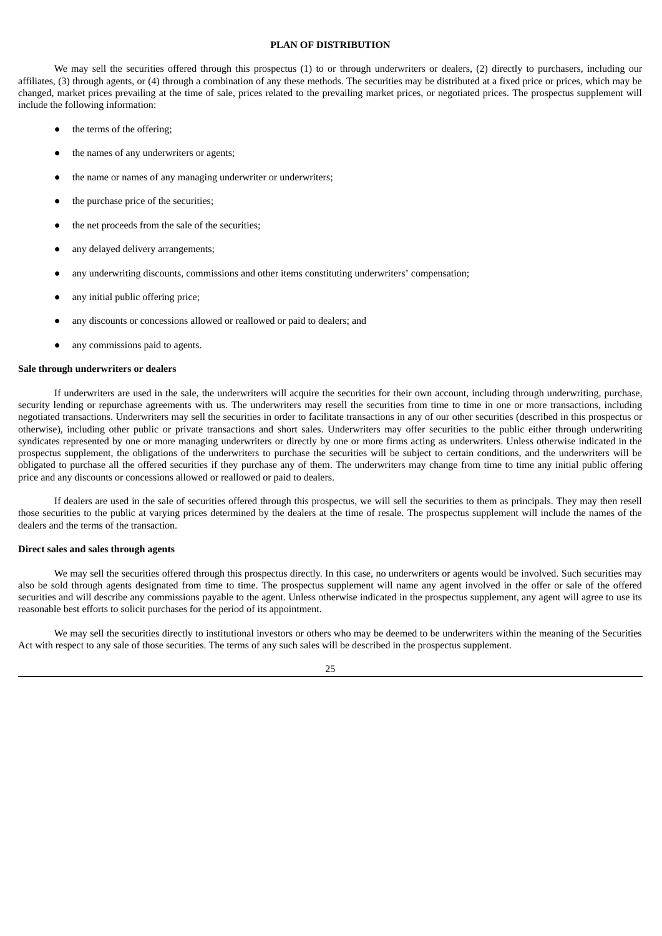## **PLAN OF DISTRIBUTION**

<span id="page-29-0"></span>We may sell the securities offered through this prospectus (1) to or through underwriters or dealers, (2) directly to purchasers, including our affiliates, (3) through agents, or (4) through a combination of any these methods. The securities may be distributed at a fixed price or prices, which may be changed, market prices prevailing at the time of sale, prices related to the prevailing market prices, or negotiated prices. The prospectus supplement will include the following information:

- the terms of the offering;
- the names of any underwriters or agents;
- the name or names of any managing underwriter or underwriters;
- the purchase price of the securities;
- the net proceeds from the sale of the securities;
- any delayed delivery arrangements;
- any underwriting discounts, commissions and other items constituting underwriters' compensation;
- any initial public offering price;
- any discounts or concessions allowed or reallowed or paid to dealers; and
- any commissions paid to agents.

## **Sale through underwriters or dealers**

If underwriters are used in the sale, the underwriters will acquire the securities for their own account, including through underwriting, purchase, security lending or repurchase agreements with us. The underwriters may resell the securities from time to time in one or more transactions, including negotiated transactions. Underwriters may sell the securities in order to facilitate transactions in any of our other securities (described in this prospectus or otherwise), including other public or private transactions and short sales. Underwriters may offer securities to the public either through underwriting syndicates represented by one or more managing underwriters or directly by one or more firms acting as underwriters. Unless otherwise indicated in the prospectus supplement, the obligations of the underwriters to purchase the securities will be subject to certain conditions, and the underwriters will be obligated to purchase all the offered securities if they purchase any of them. The underwriters may change from time to time any initial public offering price and any discounts or concessions allowed or reallowed or paid to dealers.

If dealers are used in the sale of securities offered through this prospectus, we will sell the securities to them as principals. They may then resell those securities to the public at varying prices determined by the dealers at the time of resale. The prospectus supplement will include the names of the dealers and the terms of the transaction.

#### **Direct sales and sales through agents**

We may sell the securities offered through this prospectus directly. In this case, no underwriters or agents would be involved. Such securities may also be sold through agents designated from time to time. The prospectus supplement will name any agent involved in the offer or sale of the offered securities and will describe any commissions payable to the agent. Unless otherwise indicated in the prospectus supplement, any agent will agree to use its reasonable best efforts to solicit purchases for the period of its appointment.

We may sell the securities directly to institutional investors or others who may be deemed to be underwriters within the meaning of the Securities Act with respect to any sale of those securities. The terms of any such sales will be described in the prospectus supplement.

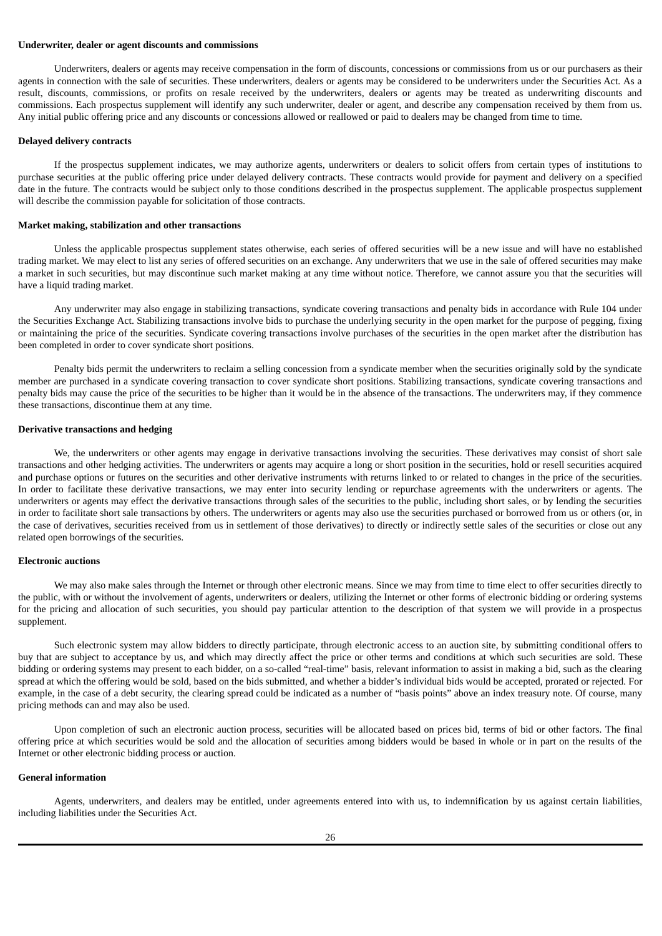## **Underwriter, dealer or agent discounts and commissions**

Underwriters, dealers or agents may receive compensation in the form of discounts, concessions or commissions from us or our purchasers as their agents in connection with the sale of securities. These underwriters, dealers or agents may be considered to be underwriters under the Securities Act. As a result, discounts, commissions, or profits on resale received by the underwriters, dealers or agents may be treated as underwriting discounts and commissions. Each prospectus supplement will identify any such underwriter, dealer or agent, and describe any compensation received by them from us. Any initial public offering price and any discounts or concessions allowed or reallowed or paid to dealers may be changed from time to time.

#### **Delayed delivery contracts**

If the prospectus supplement indicates, we may authorize agents, underwriters or dealers to solicit offers from certain types of institutions to purchase securities at the public offering price under delayed delivery contracts. These contracts would provide for payment and delivery on a specified date in the future. The contracts would be subject only to those conditions described in the prospectus supplement. The applicable prospectus supplement will describe the commission payable for solicitation of those contracts.

#### **Market making, stabilization and other transactions**

Unless the applicable prospectus supplement states otherwise, each series of offered securities will be a new issue and will have no established trading market. We may elect to list any series of offered securities on an exchange. Any underwriters that we use in the sale of offered securities may make a market in such securities, but may discontinue such market making at any time without notice. Therefore, we cannot assure you that the securities will have a liquid trading market.

Any underwriter may also engage in stabilizing transactions, syndicate covering transactions and penalty bids in accordance with Rule 104 under the Securities Exchange Act. Stabilizing transactions involve bids to purchase the underlying security in the open market for the purpose of pegging, fixing or maintaining the price of the securities. Syndicate covering transactions involve purchases of the securities in the open market after the distribution has been completed in order to cover syndicate short positions.

Penalty bids permit the underwriters to reclaim a selling concession from a syndicate member when the securities originally sold by the syndicate member are purchased in a syndicate covering transaction to cover syndicate short positions. Stabilizing transactions, syndicate covering transactions and penalty bids may cause the price of the securities to be higher than it would be in the absence of the transactions. The underwriters may, if they commence these transactions, discontinue them at any time.

#### **Derivative transactions and hedging**

We, the underwriters or other agents may engage in derivative transactions involving the securities. These derivatives may consist of short sale transactions and other hedging activities. The underwriters or agents may acquire a long or short position in the securities, hold or resell securities acquired and purchase options or futures on the securities and other derivative instruments with returns linked to or related to changes in the price of the securities. In order to facilitate these derivative transactions, we may enter into security lending or repurchase agreements with the underwriters or agents. The underwriters or agents may effect the derivative transactions through sales of the securities to the public, including short sales, or by lending the securities in order to facilitate short sale transactions by others. The underwriters or agents may also use the securities purchased or borrowed from us or others (or, in the case of derivatives, securities received from us in settlement of those derivatives) to directly or indirectly settle sales of the securities or close out any related open borrowings of the securities.

#### **Electronic auctions**

We may also make sales through the Internet or through other electronic means. Since we may from time to time elect to offer securities directly to the public, with or without the involvement of agents, underwriters or dealers, utilizing the Internet or other forms of electronic bidding or ordering systems for the pricing and allocation of such securities, you should pay particular attention to the description of that system we will provide in a prospectus supplement.

Such electronic system may allow bidders to directly participate, through electronic access to an auction site, by submitting conditional offers to buy that are subject to acceptance by us, and which may directly affect the price or other terms and conditions at which such securities are sold. These bidding or ordering systems may present to each bidder, on a so-called "real-time" basis, relevant information to assist in making a bid, such as the clearing spread at which the offering would be sold, based on the bids submitted, and whether a bidder's individual bids would be accepted, prorated or rejected. For example, in the case of a debt security, the clearing spread could be indicated as a number of "basis points" above an index treasury note. Of course, many pricing methods can and may also be used.

Upon completion of such an electronic auction process, securities will be allocated based on prices bid, terms of bid or other factors. The final offering price at which securities would be sold and the allocation of securities among bidders would be based in whole or in part on the results of the Internet or other electronic bidding process or auction.

## **General information**

Agents, underwriters, and dealers may be entitled, under agreements entered into with us, to indemnification by us against certain liabilities, including liabilities under the Securities Act.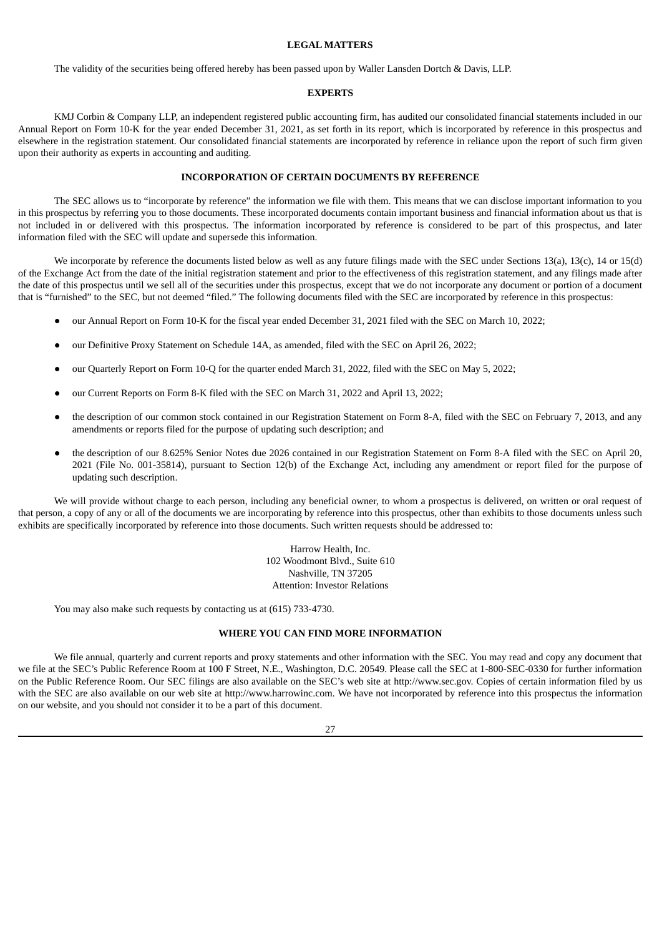## **LEGAL MATTERS**

<span id="page-31-0"></span>The validity of the securities being offered hereby has been passed upon by Waller Lansden Dortch & Davis, LLP.

#### **EXPERTS**

<span id="page-31-1"></span>KMJ Corbin & Company LLP, an independent registered public accounting firm, has audited our consolidated financial statements included in our Annual Report on Form 10-K for the year ended December 31, 2021, as set forth in its report, which is incorporated by reference in this prospectus and elsewhere in the registration statement. Our consolidated financial statements are incorporated by reference in reliance upon the report of such firm given upon their authority as experts in accounting and auditing.

## **INCORPORATION OF CERTAIN DOCUMENTS BY REFERENCE**

<span id="page-31-2"></span>The SEC allows us to "incorporate by reference" the information we file with them. This means that we can disclose important information to you in this prospectus by referring you to those documents. These incorporated documents contain important business and financial information about us that is not included in or delivered with this prospectus. The information incorporated by reference is considered to be part of this prospectus, and later information filed with the SEC will update and supersede this information.

We incorporate by reference the documents listed below as well as any future filings made with the SEC under Sections 13(a), 13(c), 14 or 15(d) of the Exchange Act from the date of the initial registration statement and prior to the effectiveness of this registration statement, and any filings made after the date of this prospectus until we sell all of the securities under this prospectus, except that we do not incorporate any document or portion of a document that is "furnished" to the SEC, but not deemed "filed." The following documents filed with the SEC are incorporated by reference in this prospectus:

- our Annual Report on Form 10-K for the fiscal year ended December 31, 2021 filed with the SEC on March 10, 2022;
- our Definitive Proxy Statement on Schedule 14A, as amended, filed with the SEC on April 26, 2022;
- our Quarterly Report on Form 10-Q for the quarter ended March 31, 2022, filed with the SEC on May 5, 2022;
- our Current Reports on Form 8-K filed with the SEC on March 31, 2022 and April 13, 2022;
- the description of our common stock contained in our Registration Statement on Form 8-A, filed with the SEC on February 7, 2013, and any amendments or reports filed for the purpose of updating such description; and
- the description of our 8.625% Senior Notes due 2026 contained in our Registration Statement on Form 8-A filed with the SEC on April 20, 2021 (File No. 001-35814), pursuant to Section 12(b) of the Exchange Act, including any amendment or report filed for the purpose of updating such description.

We will provide without charge to each person, including any beneficial owner, to whom a prospectus is delivered, on written or oral request of that person, a copy of any or all of the documents we are incorporating by reference into this prospectus, other than exhibits to those documents unless such exhibits are specifically incorporated by reference into those documents. Such written requests should be addressed to:

> Harrow Health, Inc. 102 Woodmont Blvd., Suite 610 Nashville, TN 37205 Attention: Investor Relations

You may also make such requests by contacting us at (615) 733-4730.

## **WHERE YOU CAN FIND MORE INFORMATION**

<span id="page-31-3"></span>We file annual, quarterly and current reports and proxy statements and other information with the SEC. You may read and copy any document that we file at the SEC's Public Reference Room at 100 F Street, N.E., Washington, D.C. 20549. Please call the SEC at 1-800-SEC-0330 for further information on the Public Reference Room. Our SEC filings are also available on the SEC's web site at http://www.sec.gov. Copies of certain information filed by us with the SEC are also available on our web site at http://www.harrowinc.com. We have not incorporated by reference into this prospectus the information on our website, and you should not consider it to be a part of this document.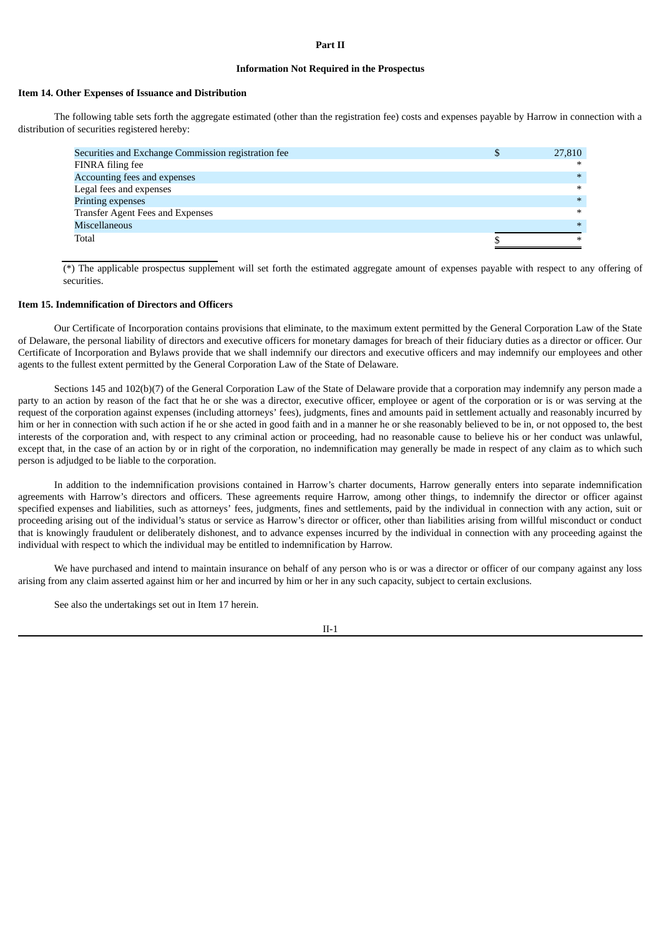## **Part II**

## **Information Not Required in the Prospectus**

#### **Item 14. Other Expenses of Issuance and Distribution**

The following table sets forth the aggregate estimated (other than the registration fee) costs and expenses payable by Harrow in connection with a distribution of securities registered hereby:

| Securities and Exchange Commission registration fee | Ф | 27,810 |
|-----------------------------------------------------|---|--------|
| FINRA filing fee                                    |   | $\ast$ |
| Accounting fees and expenses                        |   | $*$    |
| Legal fees and expenses                             |   | $\ast$ |
| Printing expenses                                   |   | $\ast$ |
| Transfer Agent Fees and Expenses                    |   | $\ast$ |
| Miscellaneous                                       |   | $\ast$ |
| Total                                               |   | $\ast$ |

(\*) The applicable prospectus supplement will set forth the estimated aggregate amount of expenses payable with respect to any offering of securities.

## **Item 15. Indemnification of Directors and Officers**

Our Certificate of Incorporation contains provisions that eliminate, to the maximum extent permitted by the General Corporation Law of the State of Delaware, the personal liability of directors and executive officers for monetary damages for breach of their fiduciary duties as a director or officer. Our Certificate of Incorporation and Bylaws provide that we shall indemnify our directors and executive officers and may indemnify our employees and other agents to the fullest extent permitted by the General Corporation Law of the State of Delaware.

Sections 145 and 102(b)(7) of the General Corporation Law of the State of Delaware provide that a corporation may indemnify any person made a party to an action by reason of the fact that he or she was a director, executive officer, employee or agent of the corporation or is or was serving at the request of the corporation against expenses (including attorneys' fees), judgments, fines and amounts paid in settlement actually and reasonably incurred by him or her in connection with such action if he or she acted in good faith and in a manner he or she reasonably believed to be in, or not opposed to, the best interests of the corporation and, with respect to any criminal action or proceeding, had no reasonable cause to believe his or her conduct was unlawful, except that, in the case of an action by or in right of the corporation, no indemnification may generally be made in respect of any claim as to which such person is adjudged to be liable to the corporation.

In addition to the indemnification provisions contained in Harrow's charter documents, Harrow generally enters into separate indemnification agreements with Harrow's directors and officers. These agreements require Harrow, among other things, to indemnify the director or officer against specified expenses and liabilities, such as attorneys' fees, judgments, fines and settlements, paid by the individual in connection with any action, suit or proceeding arising out of the individual's status or service as Harrow's director or officer, other than liabilities arising from willful misconduct or conduct that is knowingly fraudulent or deliberately dishonest, and to advance expenses incurred by the individual in connection with any proceeding against the individual with respect to which the individual may be entitled to indemnification by Harrow.

We have purchased and intend to maintain insurance on behalf of any person who is or was a director or officer of our company against any loss arising from any claim asserted against him or her and incurred by him or her in any such capacity, subject to certain exclusions.

See also the undertakings set out in Item 17 herein.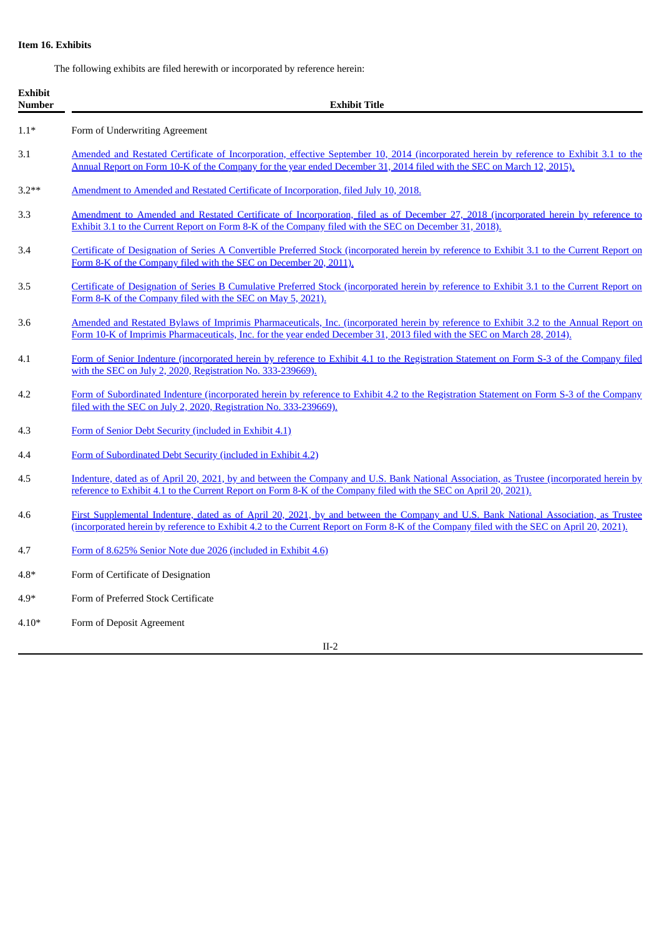## **Item 16. Exhibits**

The following exhibits are filed herewith or incorporated by reference herein:

| <b>Exhibit</b><br><b>Number</b> | <b>Exhibit Title</b>                                                                                                                                                                                                                                                            |
|---------------------------------|---------------------------------------------------------------------------------------------------------------------------------------------------------------------------------------------------------------------------------------------------------------------------------|
| $1.1*$                          | Form of Underwriting Agreement                                                                                                                                                                                                                                                  |
| 3.1                             | Amended and Restated Certificate of Incorporation, effective September 10, 2014 (incorporated herein by reference to Exhibit 3.1 to the<br>Annual Report on Form 10-K of the Company for the year ended December 31, 2014 filed with the SEC on March 12, 2015).                |
| $3.2**$                         | Amendment to Amended and Restated Certificate of Incorporation, filed July 10, 2018.                                                                                                                                                                                            |
| 3.3                             | <u>Amendment to Amended and Restated Certificate of Incorporation, filed as of December 27, 2018 (incorporated herein by reference to</u><br>Exhibit 3.1 to the Current Report on Form 8-K of the Company filed with the SEC on December 31, 2018).                             |
| 3.4                             | Certificate of Designation of Series A Convertible Preferred Stock (incorporated herein by reference to Exhibit 3.1 to the Current Report on<br>Form 8-K of the Company filed with the SEC on December 20, 2011).                                                               |
| 3.5                             | Certificate of Designation of Series B Cumulative Preferred Stock (incorporated herein by reference to Exhibit 3.1 to the Current Report on<br>Form 8-K of the Company filed with the SEC on May 5, 2021).                                                                      |
| 3.6                             | Amended and Restated Bylaws of Imprimis Pharmaceuticals, Inc. (incorporated herein by reference to Exhibit 3.2 to the Annual Report on<br>Form 10-K of Imprimis Pharmaceuticals, Inc. for the year ended December 31, 2013 filed with the SEC on March 28, 2014).               |
| 4.1                             | Form of Senior Indenture (incorporated herein by reference to Exhibit 4.1 to the Registration Statement on Form S-3 of the Company filed<br>with the SEC on July 2, 2020, Registration No. 333-239669).                                                                         |
| 4.2                             | Form of Subordinated Indenture (incorporated herein by reference to Exhibit 4.2 to the Registration Statement on Form S-3 of the Company<br>filed with the SEC on July 2, 2020, Registration No. 333-239669).                                                                   |
| 4.3                             | Form of Senior Debt Security (included in Exhibit 4.1)                                                                                                                                                                                                                          |
| 4.4                             | Form of Subordinated Debt Security (included in Exhibit 4.2)                                                                                                                                                                                                                    |
| 4.5                             | Indenture, dated as of April 20, 2021, by and between the Company and U.S. Bank National Association, as Trustee (incorporated herein by<br>reference to Exhibit 4.1 to the Current Report on Form 8-K of the Company filed with the SEC on April 20, 2021).                    |
| 4.6                             | First Supplemental Indenture, dated as of April 20, 2021, by and between the Company and U.S. Bank National Association, as Trustee<br>(incorporated herein by reference to Exhibit 4.2 to the Current Report on Form 8-K of the Company filed with the SEC on April 20, 2021). |
| 4.7                             | Form of 8.625% Senior Note due 2026 (included in Exhibit 4.6)                                                                                                                                                                                                                   |
| $4.8*$                          | Form of Certificate of Designation                                                                                                                                                                                                                                              |
| $4.9*$                          | Form of Preferred Stock Certificate                                                                                                                                                                                                                                             |
| $4.10*$                         | Form of Deposit Agreement                                                                                                                                                                                                                                                       |
|                                 | $II-2$                                                                                                                                                                                                                                                                          |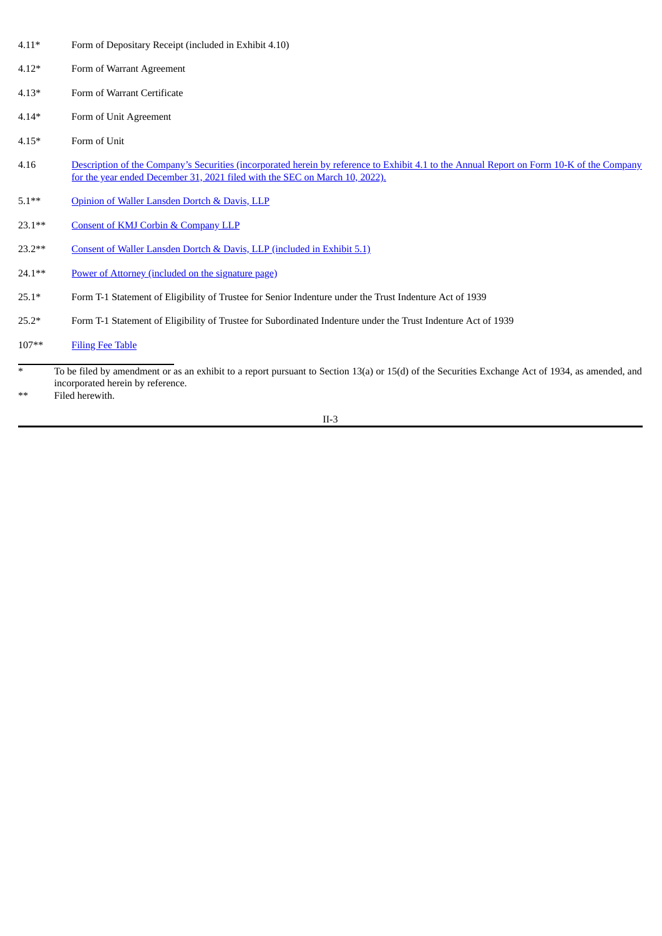- 4.11\* Form of Depositary Receipt (included in Exhibit 4.10)
- 4.12\* Form of Warrant Agreement
- 4.13\* Form of Warrant Certificate
- 4.14\* Form of Unit Agreement
- 4.15\* Form of Unit
- 4.16 Description of the Company's Securities [\(incorporated](https://www.sec.gov/Archives/edgar/data/1360214/000149315222006525/ex4-1.htm) herein by reference to Exhibit 4.1 to the Annual Report on Form 10-K of the Company for the year ended December 31, 2021 filed with the SEC on March 10, 2022).
- 5.1\*\* Opinion of Waller [Lansden](#page-39-0) Dortch & Davis, LLP
- 23.1\*\* Consent of KMJ Corbin & [Company](#page-41-0) LLP
- 23.2\*\* Consent of Waller Lansden Dortch & Davis, LLP [\(included](#page-39-0) in Exhibit 5.1)
- 24.1\*\* Power of Attorney [\(included](#page-37-0) on the signature page)
- 25.1\* Form T-1 Statement of Eligibility of Trustee for Senior Indenture under the Trust Indenture Act of 1939
- 25.2\* Form T-1 Statement of Eligibility of Trustee for Subordinated Indenture under the Trust Indenture Act of 1939
- 107\*\* [Filing](#page-42-0) Fee Table

\* To be filed by amendment or as an exhibit to a report pursuant to Section 13(a) or 15(d) of the Securities Exchange Act of 1934, as amended, and incorporated herein by reference.

\*\* Filed herewith.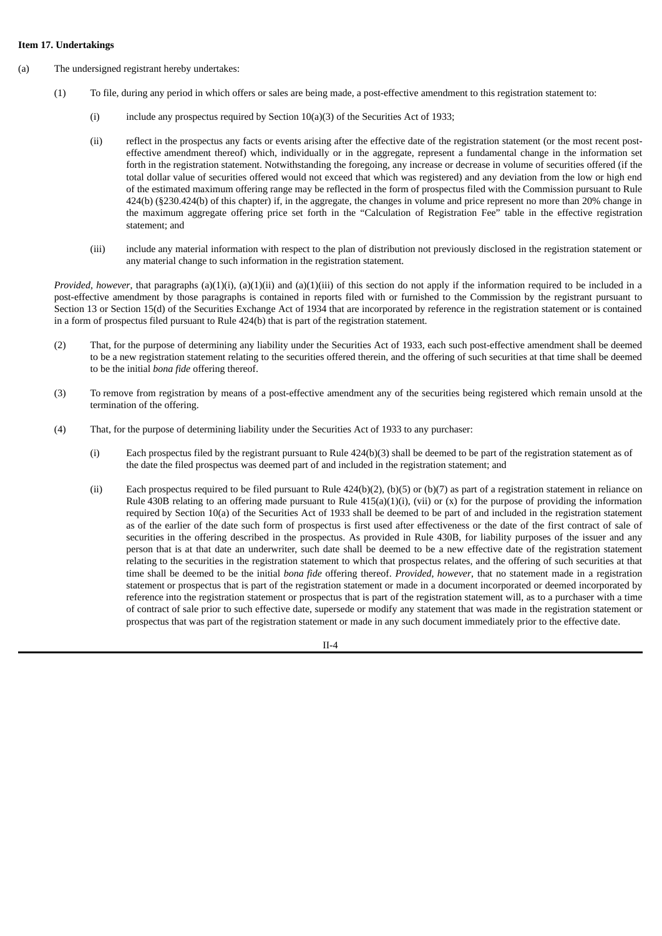## **Item 17. Undertakings**

- (a) The undersigned registrant hereby undertakes:
	- (1) To file, during any period in which offers or sales are being made, a post-effective amendment to this registration statement to:
		- (i) include any prospectus required by Section  $10(a)(3)$  of the Securities Act of 1933;
		- (ii) reflect in the prospectus any facts or events arising after the effective date of the registration statement (or the most recent posteffective amendment thereof) which, individually or in the aggregate, represent a fundamental change in the information set forth in the registration statement. Notwithstanding the foregoing, any increase or decrease in volume of securities offered (if the total dollar value of securities offered would not exceed that which was registered) and any deviation from the low or high end of the estimated maximum offering range may be reflected in the form of prospectus filed with the Commission pursuant to Rule 424(b) (§230.424(b) of this chapter) if, in the aggregate, the changes in volume and price represent no more than 20% change in the maximum aggregate offering price set forth in the "Calculation of Registration Fee" table in the effective registration statement; and
		- (iii) include any material information with respect to the plan of distribution not previously disclosed in the registration statement or any material change to such information in the registration statement.

*Provided, however*, that paragraphs (a)(1)(i), (a)(1)(ii) and (a)(1)(iii) of this section do not apply if the information required to be included in a post-effective amendment by those paragraphs is contained in reports filed with or furnished to the Commission by the registrant pursuant to Section 13 or Section 15(d) of the Securities Exchange Act of 1934 that are incorporated by reference in the registration statement or is contained in a form of prospectus filed pursuant to Rule 424(b) that is part of the registration statement.

- (2) That, for the purpose of determining any liability under the Securities Act of 1933, each such post-effective amendment shall be deemed to be a new registration statement relating to the securities offered therein, and the offering of such securities at that time shall be deemed to be the initial *bona fide* offering thereof.
- (3) To remove from registration by means of a post-effective amendment any of the securities being registered which remain unsold at the termination of the offering.
- (4) That, for the purpose of determining liability under the Securities Act of 1933 to any purchaser:
	- (i) Each prospectus filed by the registrant pursuant to Rule 424(b)(3) shall be deemed to be part of the registration statement as of the date the filed prospectus was deemed part of and included in the registration statement; and
	- (ii) Each prospectus required to be filed pursuant to Rule 424(b)(2), (b)(5) or (b)(7) as part of a registration statement in reliance on Rule 430B relating to an offering made pursuant to Rule  $415(a)(1)(i)$ , (vii) or (x) for the purpose of providing the information required by Section 10(a) of the Securities Act of 1933 shall be deemed to be part of and included in the registration statement as of the earlier of the date such form of prospectus is first used after effectiveness or the date of the first contract of sale of securities in the offering described in the prospectus. As provided in Rule 430B, for liability purposes of the issuer and any person that is at that date an underwriter, such date shall be deemed to be a new effective date of the registration statement relating to the securities in the registration statement to which that prospectus relates, and the offering of such securities at that time shall be deemed to be the initial *bona fide* offering thereof. *Provided*, *however*, that no statement made in a registration statement or prospectus that is part of the registration statement or made in a document incorporated or deemed incorporated by reference into the registration statement or prospectus that is part of the registration statement will, as to a purchaser with a time of contract of sale prior to such effective date, supersede or modify any statement that was made in the registration statement or prospectus that was part of the registration statement or made in any such document immediately prior to the effective date.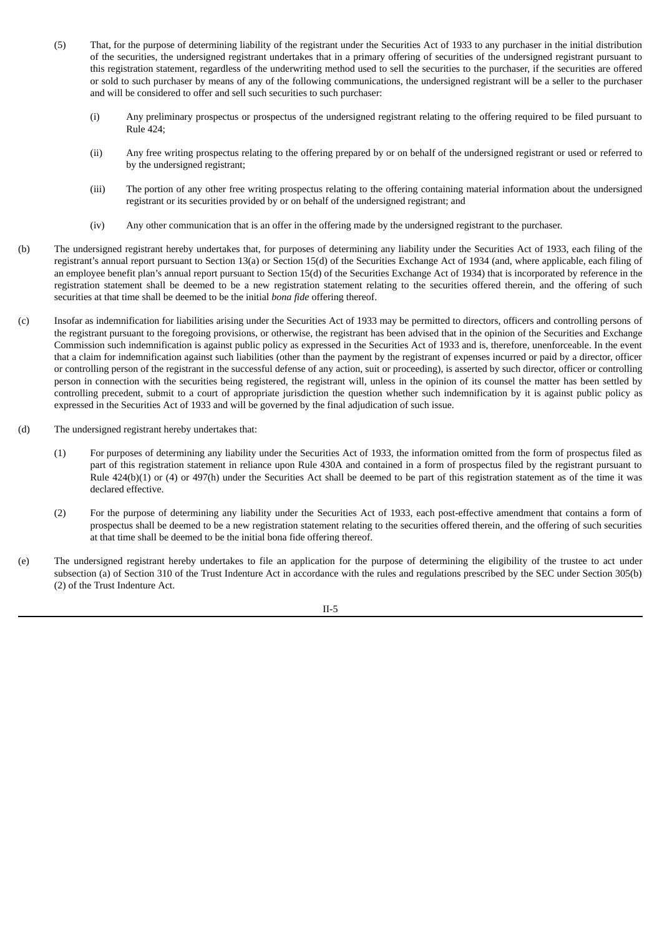- (5) That, for the purpose of determining liability of the registrant under the Securities Act of 1933 to any purchaser in the initial distribution of the securities, the undersigned registrant undertakes that in a primary offering of securities of the undersigned registrant pursuant to this registration statement, regardless of the underwriting method used to sell the securities to the purchaser, if the securities are offered or sold to such purchaser by means of any of the following communications, the undersigned registrant will be a seller to the purchaser and will be considered to offer and sell such securities to such purchaser:
	- (i) Any preliminary prospectus or prospectus of the undersigned registrant relating to the offering required to be filed pursuant to Rule 424;
	- (ii) Any free writing prospectus relating to the offering prepared by or on behalf of the undersigned registrant or used or referred to by the undersigned registrant;
	- (iii) The portion of any other free writing prospectus relating to the offering containing material information about the undersigned registrant or its securities provided by or on behalf of the undersigned registrant; and
	- (iv) Any other communication that is an offer in the offering made by the undersigned registrant to the purchaser.
- (b) The undersigned registrant hereby undertakes that, for purposes of determining any liability under the Securities Act of 1933, each filing of the registrant's annual report pursuant to Section 13(a) or Section 15(d) of the Securities Exchange Act of 1934 (and, where applicable, each filing of an employee benefit plan's annual report pursuant to Section 15(d) of the Securities Exchange Act of 1934) that is incorporated by reference in the registration statement shall be deemed to be a new registration statement relating to the securities offered therein, and the offering of such securities at that time shall be deemed to be the initial *bona fide* offering thereof.
- (c) Insofar as indemnification for liabilities arising under the Securities Act of 1933 may be permitted to directors, officers and controlling persons of the registrant pursuant to the foregoing provisions, or otherwise, the registrant has been advised that in the opinion of the Securities and Exchange Commission such indemnification is against public policy as expressed in the Securities Act of 1933 and is, therefore, unenforceable. In the event that a claim for indemnification against such liabilities (other than the payment by the registrant of expenses incurred or paid by a director, officer or controlling person of the registrant in the successful defense of any action, suit or proceeding), is asserted by such director, officer or controlling person in connection with the securities being registered, the registrant will, unless in the opinion of its counsel the matter has been settled by controlling precedent, submit to a court of appropriate jurisdiction the question whether such indemnification by it is against public policy as expressed in the Securities Act of 1933 and will be governed by the final adjudication of such issue.
- (d) The undersigned registrant hereby undertakes that:
	- (1) For purposes of determining any liability under the Securities Act of 1933, the information omitted from the form of prospectus filed as part of this registration statement in reliance upon Rule 430A and contained in a form of prospectus filed by the registrant pursuant to Rule 424(b)(1) or (4) or 497(h) under the Securities Act shall be deemed to be part of this registration statement as of the time it was declared effective.
	- (2) For the purpose of determining any liability under the Securities Act of 1933, each post-effective amendment that contains a form of prospectus shall be deemed to be a new registration statement relating to the securities offered therein, and the offering of such securities at that time shall be deemed to be the initial bona fide offering thereof.
- (e) The undersigned registrant hereby undertakes to file an application for the purpose of determining the eligibility of the trustee to act under subsection (a) of Section 310 of the Trust Indenture Act in accordance with the rules and regulations prescribed by the SEC under Section 305(b) (2) of the Trust Indenture Act.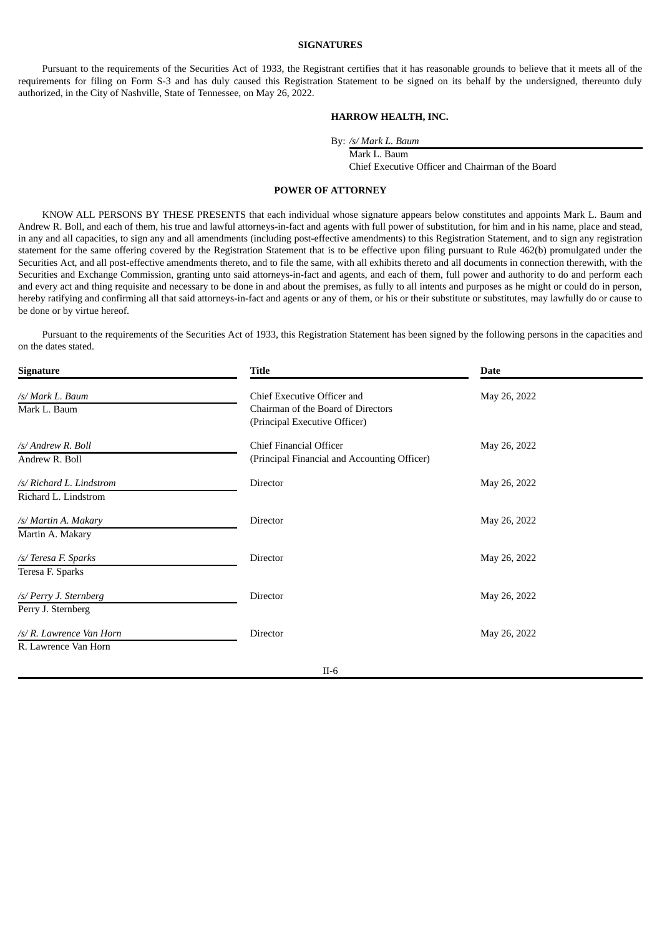## **SIGNATURES**

Pursuant to the requirements of the Securities Act of 1933, the Registrant certifies that it has reasonable grounds to believe that it meets all of the requirements for filing on Form S-3 and has duly caused this Registration Statement to be signed on its behalf by the undersigned, thereunto duly authorized, in the City of Nashville, State of Tennessee, on May 26, 2022.

## **HARROW HEALTH, INC.**

By: */s/ Mark L. Baum*

Mark L. Baum

Chief Executive Officer and Chairman of the Board

## **POWER OF ATTORNEY**

<span id="page-37-0"></span>KNOW ALL PERSONS BY THESE PRESENTS that each individual whose signature appears below constitutes and appoints Mark L. Baum and Andrew R. Boll, and each of them, his true and lawful attorneys-in-fact and agents with full power of substitution, for him and in his name, place and stead, in any and all capacities, to sign any and all amendments (including post-effective amendments) to this Registration Statement, and to sign any registration statement for the same offering covered by the Registration Statement that is to be effective upon filing pursuant to Rule 462(b) promulgated under the Securities Act, and all post-effective amendments thereto, and to file the same, with all exhibits thereto and all documents in connection therewith, with the Securities and Exchange Commission, granting unto said attorneys-in-fact and agents, and each of them, full power and authority to do and perform each and every act and thing requisite and necessary to be done in and about the premises, as fully to all intents and purposes as he might or could do in person, hereby ratifying and confirming all that said attorneys-in-fact and agents or any of them, or his or their substitute or substitutes, may lawfully do or cause to be done or by virtue hereof.

Pursuant to the requirements of the Securities Act of 1933, this Registration Statement has been signed by the following persons in the capacities and on the dates stated.

| <b>Signature</b>                                 | Title                                                                                              | Date         |
|--------------------------------------------------|----------------------------------------------------------------------------------------------------|--------------|
| /s/ Mark L. Baum<br>Mark L. Baum                 | Chief Executive Officer and<br>Chairman of the Board of Directors<br>(Principal Executive Officer) | May 26, 2022 |
| /s/ Andrew R. Boll<br>Andrew R. Boll             | Chief Financial Officer<br>(Principal Financial and Accounting Officer)                            | May 26, 2022 |
| /s/ Richard L. Lindstrom<br>Richard L. Lindstrom | Director                                                                                           | May 26, 2022 |
| /s/ Martin A. Makary<br>Martin A. Makary         | Director                                                                                           | May 26, 2022 |
| /s/ Teresa F. Sparks<br>Teresa F. Sparks         | Director                                                                                           | May 26, 2022 |
| /s/ Perry J. Sternberg<br>Perry J. Sternberg     | Director                                                                                           | May 26, 2022 |
| /s/ R. Lawrence Van Horn<br>R. Lawrence Van Horn | Director                                                                                           | May 26, 2022 |
|                                                  | $II-6$                                                                                             |              |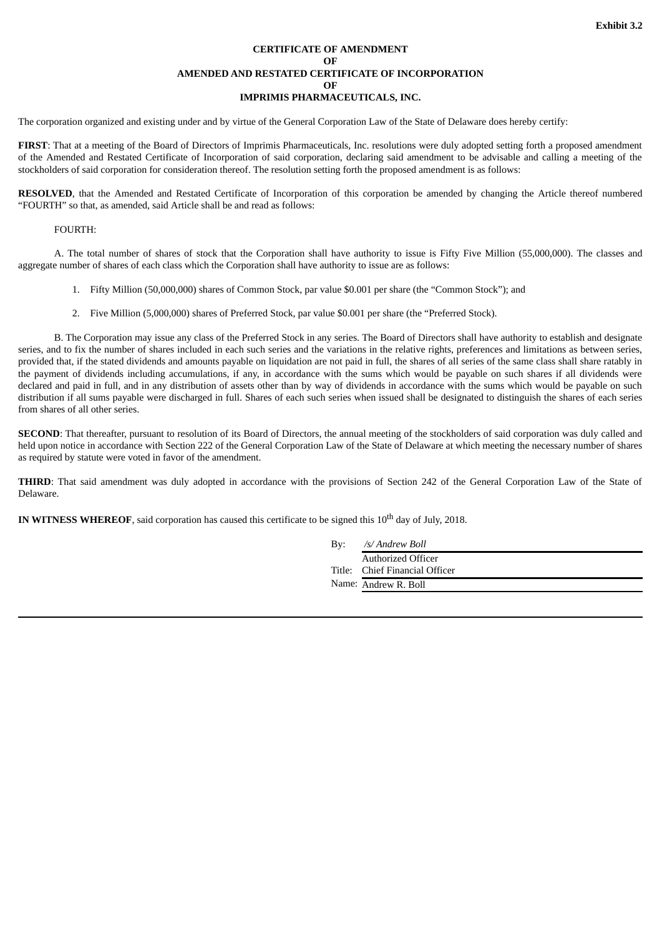## **CERTIFICATE OF AMENDMENT OF AMENDED AND RESTATED CERTIFICATE OF INCORPORATION OF IMPRIMIS PHARMACEUTICALS, INC.**

<span id="page-38-0"></span>The corporation organized and existing under and by virtue of the General Corporation Law of the State of Delaware does hereby certify:

**FIRST**: That at a meeting of the Board of Directors of Imprimis Pharmaceuticals, Inc. resolutions were duly adopted setting forth a proposed amendment of the Amended and Restated Certificate of Incorporation of said corporation, declaring said amendment to be advisable and calling a meeting of the stockholders of said corporation for consideration thereof. The resolution setting forth the proposed amendment is as follows:

RESOLVED, that the Amended and Restated Certificate of Incorporation of this corporation be amended by changing the Article thereof numbered "FOURTH" so that, as amended, said Article shall be and read as follows:

## FOURTH:

A. The total number of shares of stock that the Corporation shall have authority to issue is Fifty Five Million (55,000,000). The classes and aggregate number of shares of each class which the Corporation shall have authority to issue are as follows:

- 1. Fifty Million (50,000,000) shares of Common Stock, par value \$0.001 per share (the "Common Stock"); and
- 2. Five Million (5,000,000) shares of Preferred Stock, par value \$0.001 per share (the "Preferred Stock).

B. The Corporation may issue any class of the Preferred Stock in any series. The Board of Directors shall have authority to establish and designate series, and to fix the number of shares included in each such series and the variations in the relative rights, preferences and limitations as between series, provided that, if the stated dividends and amounts payable on liquidation are not paid in full, the shares of all series of the same class shall share ratably in the payment of dividends including accumulations, if any, in accordance with the sums which would be payable on such shares if all dividends were declared and paid in full, and in any distribution of assets other than by way of dividends in accordance with the sums which would be payable on such distribution if all sums payable were discharged in full. Shares of each such series when issued shall be designated to distinguish the shares of each series from shares of all other series.

**SECOND**: That thereafter, pursuant to resolution of its Board of Directors, the annual meeting of the stockholders of said corporation was duly called and held upon notice in accordance with Section 222 of the General Corporation Law of the State of Delaware at which meeting the necessary number of shares as required by statute were voted in favor of the amendment.

**THIRD**: That said amendment was duly adopted in accordance with the provisions of Section 242 of the General Corporation Law of the State of Delaware.

IN WITNESS WHEREOF, said corporation has caused this certificate to be signed this 10<sup>th</sup> day of July, 2018.

| Bv: | /s/ Andrew Boll                |
|-----|--------------------------------|
|     | Authorized Officer             |
|     | Title: Chief Financial Officer |
|     | Name: Andrew R. Boll           |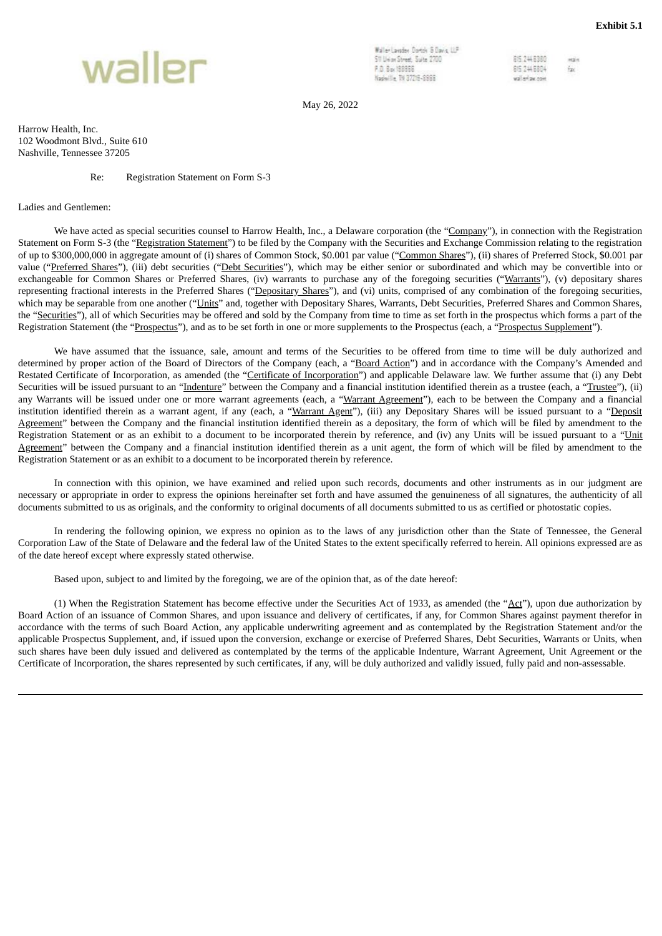

<span id="page-39-0"></span>

Waller Lauder Dorton & Davis 11P Sti Livian Street, Suite 2700 P.O. Box 198956 Naphyllie, TN 37219-8966

DK 7468380 iezin 815 244 8804 Ň. wallerlaw.com

May 26, 2022

Harrow Health, Inc. 102 Woodmont Blvd., Suite 610 Nashville, Tennessee 37205

#### Re: Registration Statement on Form S-3

#### Ladies and Gentlemen:

We have acted as special securities counsel to Harrow Health, Inc., a Delaware corporation (the "Company"), in connection with the Registration Statement on Form S-3 (the "Registration Statement") to be filed by the Company with the Securities and Exchange Commission relating to the registration of up to \$300,000,000 in aggregate amount of (i) shares of Common Stock, \$0.001 par value ("Common Shares"), (ii) shares of Preferred Stock, \$0.001 par value ("Preferred Shares"), (iii) debt securities ("Debt Securities"), which may be either senior or subordinated and which may be convertible into or exchangeable for Common Shares or Preferred Shares, (iv) warrants to purchase any of the foregoing securities ("Warrants"), (v) depositary shares representing fractional interests in the Preferred Shares ("Depositary Shares"), and (vi) units, comprised of any combination of the foregoing securities, which may be separable from one another ("Units" and, together with Depositary Shares, Warrants, Debt Securities, Preferred Shares and Common Shares, the "Securities"), all of which Securities may be offered and sold by the Company from time to time as set forth in the prospectus which forms a part of the Registration Statement (the "Prospectus"), and as to be set forth in one or more supplements to the Prospectus (each, a "Prospectus Supplement").

We have assumed that the issuance, sale, amount and terms of the Securities to be offered from time to time will be duly authorized and determined by proper action of the Board of Directors of the Company (each, a "Board Action") and in accordance with the Company's Amended and Restated Certificate of Incorporation, as amended (the "Certificate of Incorporation") and applicable Delaware law. We further assume that (i) any Debt Securities will be issued pursuant to an "Indenture" between the Company and a financial institution identified therein as a trustee (each, a "Trustee"), (ii) any Warrants will be issued under one or more warrant agreements (each, a "Warrant Agreement"), each to be between the Company and a financial institution identified therein as a warrant agent, if any (each, a "Warrant Agent"), (iii) any Depositary Shares will be issued pursuant to a "Deposit Agreement" between the Company and the financial institution identified therein as a depositary, the form of which will be filed by amendment to the Registration Statement or as an exhibit to a document to be incorporated therein by reference, and (iv) any Units will be issued pursuant to a "Unit Agreement" between the Company and a financial institution identified therein as a unit agent, the form of which will be filed by amendment to the Registration Statement or as an exhibit to a document to be incorporated therein by reference.

In connection with this opinion, we have examined and relied upon such records, documents and other instruments as in our judgment are necessary or appropriate in order to express the opinions hereinafter set forth and have assumed the genuineness of all signatures, the authenticity of all documents submitted to us as originals, and the conformity to original documents of all documents submitted to us as certified or photostatic copies.

In rendering the following opinion, we express no opinion as to the laws of any jurisdiction other than the State of Tennessee, the General Corporation Law of the State of Delaware and the federal law of the United States to the extent specifically referred to herein. All opinions expressed are as of the date hereof except where expressly stated otherwise.

Based upon, subject to and limited by the foregoing, we are of the opinion that, as of the date hereof:

(1) When the Registration Statement has become effective under the Securities Act of 1933, as amended (the " $\Delta ct$ "), upon due authorization by Board Action of an issuance of Common Shares, and upon issuance and delivery of certificates, if any, for Common Shares against payment therefor in accordance with the terms of such Board Action, any applicable underwriting agreement and as contemplated by the Registration Statement and/or the applicable Prospectus Supplement, and, if issued upon the conversion, exchange or exercise of Preferred Shares, Debt Securities, Warrants or Units, when such shares have been duly issued and delivered as contemplated by the terms of the applicable Indenture, Warrant Agreement, Unit Agreement or the Certificate of Incorporation, the shares represented by such certificates, if any, will be duly authorized and validly issued, fully paid and non-assessable.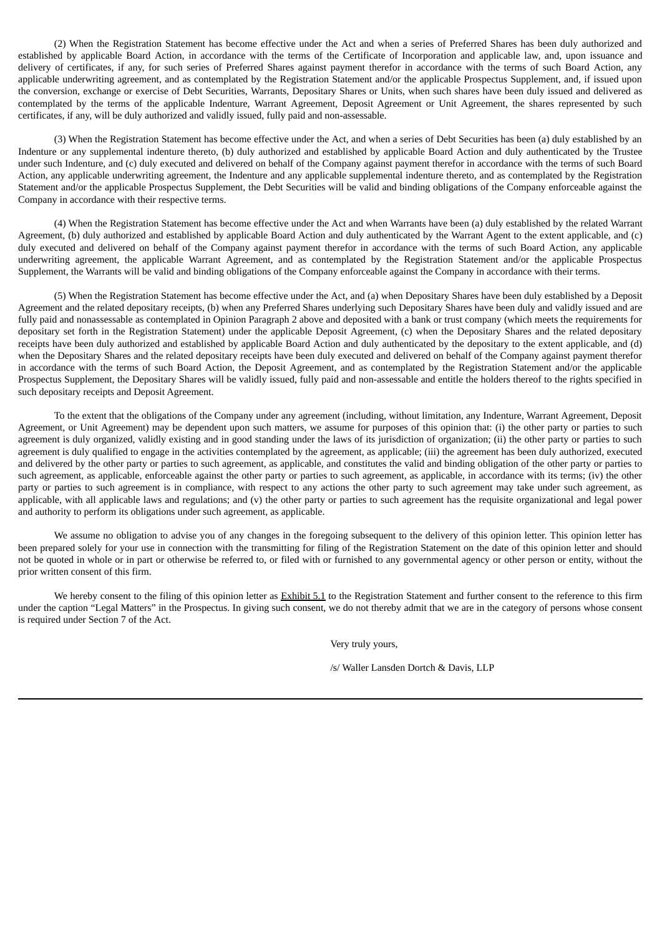(2) When the Registration Statement has become effective under the Act and when a series of Preferred Shares has been duly authorized and established by applicable Board Action, in accordance with the terms of the Certificate of Incorporation and applicable law, and, upon issuance and delivery of certificates, if any, for such series of Preferred Shares against payment therefor in accordance with the terms of such Board Action, any applicable underwriting agreement, and as contemplated by the Registration Statement and/or the applicable Prospectus Supplement, and, if issued upon the conversion, exchange or exercise of Debt Securities, Warrants, Depositary Shares or Units, when such shares have been duly issued and delivered as contemplated by the terms of the applicable Indenture, Warrant Agreement, Deposit Agreement or Unit Agreement, the shares represented by such certificates, if any, will be duly authorized and validly issued, fully paid and non-assessable.

(3) When the Registration Statement has become effective under the Act, and when a series of Debt Securities has been (a) duly established by an Indenture or any supplemental indenture thereto, (b) duly authorized and established by applicable Board Action and duly authenticated by the Trustee under such Indenture, and (c) duly executed and delivered on behalf of the Company against payment therefor in accordance with the terms of such Board Action, any applicable underwriting agreement, the Indenture and any applicable supplemental indenture thereto, and as contemplated by the Registration Statement and/or the applicable Prospectus Supplement, the Debt Securities will be valid and binding obligations of the Company enforceable against the Company in accordance with their respective terms.

(4) When the Registration Statement has become effective under the Act and when Warrants have been (a) duly established by the related Warrant Agreement, (b) duly authorized and established by applicable Board Action and duly authenticated by the Warrant Agent to the extent applicable, and (c) duly executed and delivered on behalf of the Company against payment therefor in accordance with the terms of such Board Action, any applicable underwriting agreement, the applicable Warrant Agreement, and as contemplated by the Registration Statement and/or the applicable Prospectus Supplement, the Warrants will be valid and binding obligations of the Company enforceable against the Company in accordance with their terms.

(5) When the Registration Statement has become effective under the Act, and (a) when Depositary Shares have been duly established by a Deposit Agreement and the related depositary receipts, (b) when any Preferred Shares underlying such Depositary Shares have been duly and validly issued and are fully paid and nonassessable as contemplated in Opinion Paragraph 2 above and deposited with a bank or trust company (which meets the requirements for depositary set forth in the Registration Statement) under the applicable Deposit Agreement, (c) when the Depositary Shares and the related depositary receipts have been duly authorized and established by applicable Board Action and duly authenticated by the depositary to the extent applicable, and (d) when the Depositary Shares and the related depositary receipts have been duly executed and delivered on behalf of the Company against payment therefor in accordance with the terms of such Board Action, the Deposit Agreement, and as contemplated by the Registration Statement and/or the applicable Prospectus Supplement, the Depositary Shares will be validly issued, fully paid and non-assessable and entitle the holders thereof to the rights specified in such depositary receipts and Deposit Agreement.

To the extent that the obligations of the Company under any agreement (including, without limitation, any Indenture, Warrant Agreement, Deposit Agreement, or Unit Agreement) may be dependent upon such matters, we assume for purposes of this opinion that: (i) the other party or parties to such agreement is duly organized, validly existing and in good standing under the laws of its jurisdiction of organization; (ii) the other party or parties to such agreement is duly qualified to engage in the activities contemplated by the agreement, as applicable; (iii) the agreement has been duly authorized, executed and delivered by the other party or parties to such agreement, as applicable, and constitutes the valid and binding obligation of the other party or parties to such agreement, as applicable, enforceable against the other party or parties to such agreement, as applicable, in accordance with its terms; (iv) the other party or parties to such agreement is in compliance, with respect to any actions the other party to such agreement may take under such agreement, as applicable, with all applicable laws and regulations; and (v) the other party or parties to such agreement has the requisite organizational and legal power and authority to perform its obligations under such agreement, as applicable.

We assume no obligation to advise you of any changes in the foregoing subsequent to the delivery of this opinion letter. This opinion letter has been prepared solely for your use in connection with the transmitting for filing of the Registration Statement on the date of this opinion letter and should not be quoted in whole or in part or otherwise be referred to, or filed with or furnished to any governmental agency or other person or entity, without the prior written consent of this firm.

We hereby consent to the filing of this opinion letter as Exhibit 5.1 to the Registration Statement and further consent to the reference to this firm under the caption "Legal Matters" in the Prospectus. In giving such consent, we do not thereby admit that we are in the category of persons whose consent is required under Section 7 of the Act.

Very truly yours,

/s/ Waller Lansden Dortch & Davis, LLP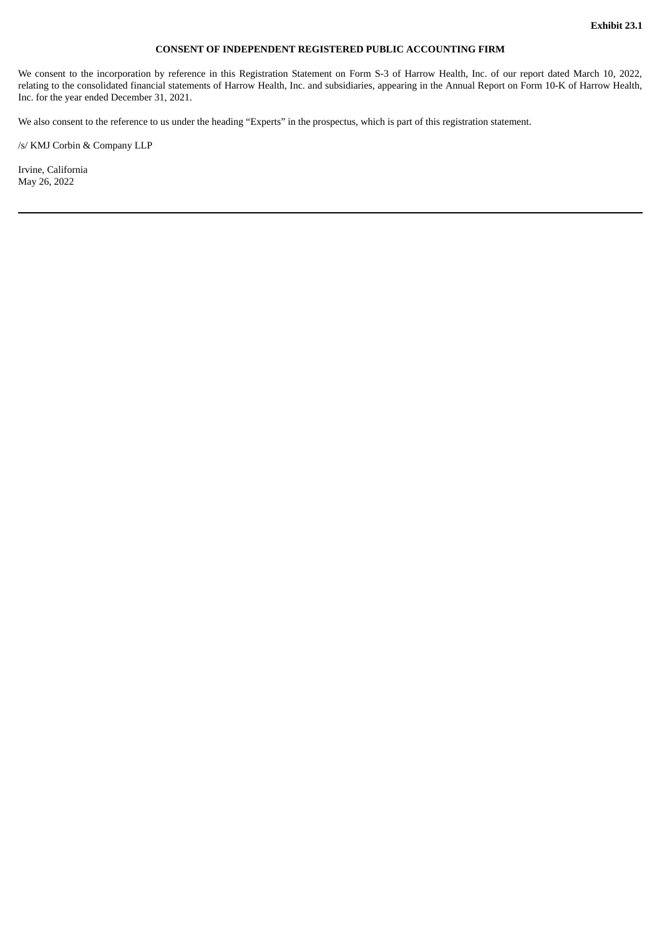## **CONSENT OF INDEPENDENT REGISTERED PUBLIC ACCOUNTING FIRM**

<span id="page-41-0"></span>We consent to the incorporation by reference in this Registration Statement on Form S-3 of Harrow Health, Inc. of our report dated March 10, 2022, relating to the consolidated financial statements of Harrow Health, Inc. and subsidiaries, appearing in the Annual Report on Form 10-K of Harrow Health, Inc. for the year ended December 31, 2021.

We also consent to the reference to us under the heading "Experts" in the prospectus, which is part of this registration statement.

/s/ KMJ Corbin & Company LLP

Irvine, California May 26, 2022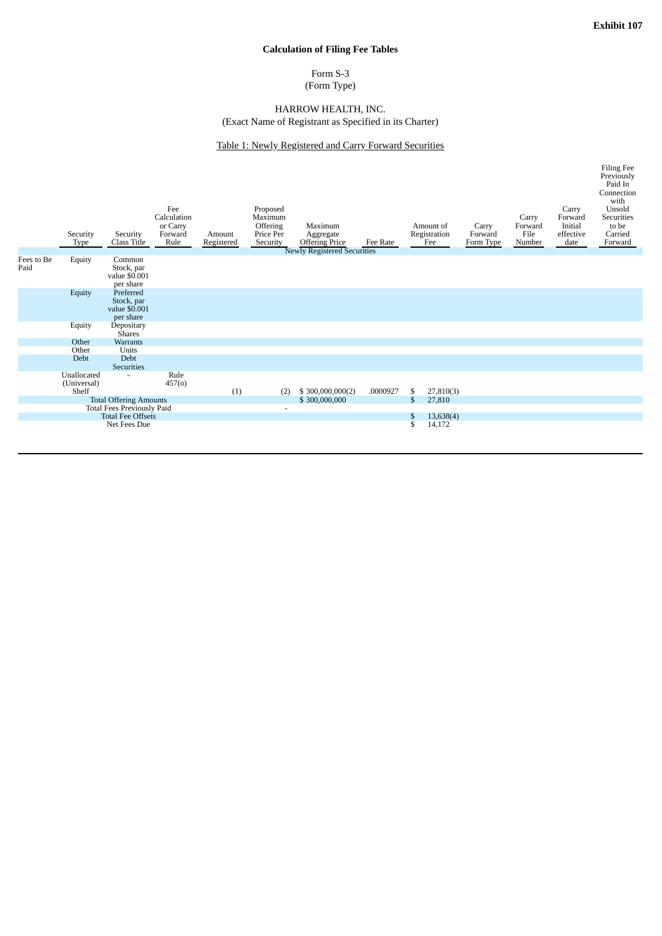# **Calculation of Filing Fee Tables**

# Form S-3

(Form Type)

## HARROW HEALTH, INC. (Exact Name of Registrant as Specified in its Charter)

# Table 1: Newly Registered and Carry Forward Securities

<span id="page-42-0"></span>

|                                   | Security<br>Type                    | Security<br>Class Title                               | Fee<br>Calculation<br>or Carry<br>Forward<br>Rule | Amount<br>Registered | Proposed<br>Maximum<br>Offering<br>Price Per<br>Security | Maximum<br>Aggregate<br><b>Offering Price</b><br><b>Newly Registered Securities</b> | Fee Rate |              | Amount of<br>Registration<br>Fee | Carry<br>Forward<br>Form Type | Carry<br>Forward<br>File<br>Number | Carry<br>Forward<br>Initial<br>effective<br>date | <b>Filing Fee</b><br>Previously<br>Paid In<br>Connection<br>with<br>Unsold<br>Securities<br>to be<br>Carried<br>Forward |
|-----------------------------------|-------------------------------------|-------------------------------------------------------|---------------------------------------------------|----------------------|----------------------------------------------------------|-------------------------------------------------------------------------------------|----------|--------------|----------------------------------|-------------------------------|------------------------------------|--------------------------------------------------|-------------------------------------------------------------------------------------------------------------------------|
| Fees to Be<br>Paid                | Equity                              | Common<br>Stock, par<br>value \$0.001<br>per share    |                                                   |                      |                                                          |                                                                                     |          |              |                                  |                               |                                    |                                                  |                                                                                                                         |
|                                   | Equity                              | Preferred<br>Stock, par<br>value \$0.001<br>per share |                                                   |                      |                                                          |                                                                                     |          |              |                                  |                               |                                    |                                                  |                                                                                                                         |
|                                   | Equity                              | Depositary<br><b>Shares</b>                           |                                                   |                      |                                                          |                                                                                     |          |              |                                  |                               |                                    |                                                  |                                                                                                                         |
|                                   | Other                               | Warrants                                              |                                                   |                      |                                                          |                                                                                     |          |              |                                  |                               |                                    |                                                  |                                                                                                                         |
|                                   | Other<br>Debt                       | Units<br>Debt<br>Securities                           |                                                   |                      |                                                          |                                                                                     |          |              |                                  |                               |                                    |                                                  |                                                                                                                         |
|                                   | Unallocated<br>(Universal)<br>Shelf |                                                       | Rule<br>457(0)                                    | (1)                  | (2)                                                      | \$300,000,000(2)                                                                    | .0000927 | \$           | 27,810(3)                        |                               |                                    |                                                  |                                                                                                                         |
|                                   |                                     | <b>Total Offering Amounts</b>                         |                                                   |                      |                                                          | \$300,000,000                                                                       |          | $\mathbb{S}$ | 27,810                           |                               |                                    |                                                  |                                                                                                                         |
| <b>Total Fees Previously Paid</b> |                                     |                                                       |                                                   |                      | $\overline{\phantom{a}}$                                 |                                                                                     |          |              |                                  |                               |                                    |                                                  |                                                                                                                         |
| <b>Total Fee Offsets</b>          |                                     |                                                       |                                                   |                      |                                                          |                                                                                     |          | \$           | 13,638(4)                        |                               |                                    |                                                  |                                                                                                                         |
|                                   |                                     | Net Fees Due                                          |                                                   |                      |                                                          |                                                                                     |          | \$           | 14,172                           |                               |                                    |                                                  |                                                                                                                         |